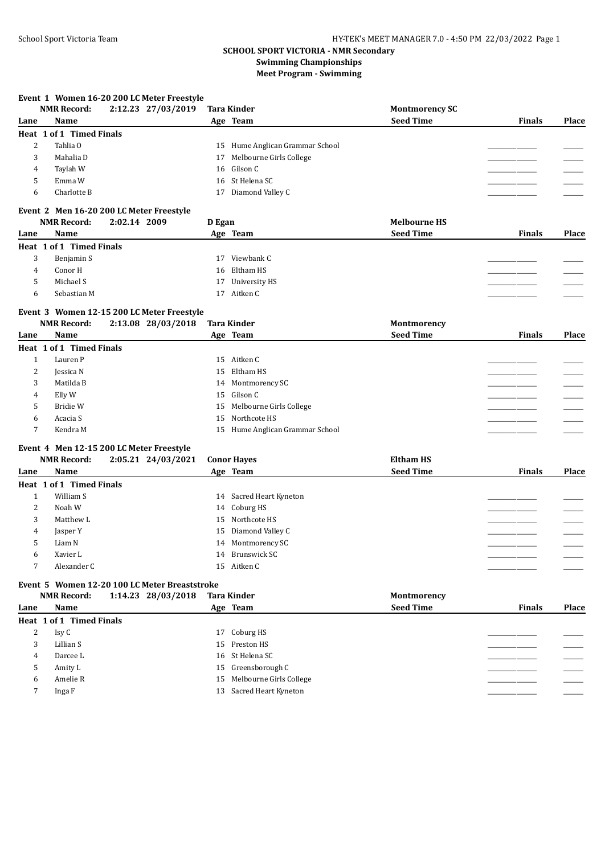#### **Event 1 Women 16-20 200 LC Meter Freestyle**

|      | <b>NMR Record:</b>       | 2:12.23 27/03/2019                       | <b>Tara Kinder</b>              | <b>Montmorency SC</b> |               |              |
|------|--------------------------|------------------------------------------|---------------------------------|-----------------------|---------------|--------------|
| Lane | Name                     |                                          | Age Team                        | <b>Seed Time</b>      | <b>Finals</b> | <b>Place</b> |
|      | Heat 1 of 1 Timed Finals |                                          |                                 |                       |               |              |
|      | Tahlia O                 |                                          | 15 Hume Anglican Grammar School |                       |               |              |
| 3    | Mahalia D                |                                          | 17 Melbourne Girls College      |                       |               |              |
| 4    | Taylah W                 |                                          | 16 Gilson C                     |                       |               |              |
| 5    | Emma W                   |                                          | 16 St Helena SC                 |                       |               |              |
| 6    | Charlotte B              |                                          | 17 Diamond Valley C             |                       |               |              |
|      |                          | Event 2 Men 16-20 200 LC Meter Freestyle |                                 |                       |               |              |
|      | <b>NMR Record:</b>       | 2:02.14 2009                             | D Egan                          | <b>Melbourne HS</b>   |               |              |
| Lane | Name                     |                                          | Age Team                        | <b>Seed Time</b>      | <b>Finals</b> | <b>Place</b> |
|      | Heat 1 of 1 Timed Finals |                                          |                                 |                       |               |              |
| 3    | Benjamin S               |                                          | Viewbank C<br>17                |                       |               |              |
|      |                          |                                          |                                 |                       |               |              |

## 4 Conor H 16 Eltham HS \_\_\_\_\_\_\_\_\_\_\_\_\_\_\_\_\_ \_\_\_\_\_\_\_ 5 Michael S 17 University HS \_\_\_\_\_\_\_\_\_\_\_\_\_\_\_\_\_ \_\_\_\_\_\_\_ 6 Sebastian M 17 Aitken C \_\_\_\_\_\_\_\_\_\_\_\_\_\_\_\_\_ \_\_\_\_\_\_\_

## **Event 3 Women 12-15 200 LC Meter Freestyle**

|      | <b>NMR Record:</b>       | 2:13.08 28/03/2018 | <b>Tara Kinder</b>              | Montmorency      |               |       |
|------|--------------------------|--------------------|---------------------------------|------------------|---------------|-------|
| Lane | Name                     |                    | Age Team                        | <b>Seed Time</b> | <b>Finals</b> | Place |
|      | Heat 1 of 1 Timed Finals |                    |                                 |                  |               |       |
|      | Lauren P                 |                    | 15 Aitken C                     |                  |               |       |
| 2    | Jessica N                |                    | 15 Eltham HS                    |                  |               |       |
| 3    | Matilda B                |                    | 14 Montmorency SC               |                  |               |       |
| 4    | Elly W                   |                    | 15 Gilson C                     |                  |               |       |
|      | Bridie W                 |                    | 15 Melbourne Girls College      |                  |               |       |
| 6    | Acacia S                 |                    | 15 Northcote HS                 |                  |               |       |
|      | Kendra M                 |                    | 15 Hume Anglican Grammar School |                  |               |       |
|      |                          |                    |                                 |                  |               |       |

## **Event 4 Men 12-15 200 LC Meter Freestyle**

|      | <b>NMR Record:</b>       | 2:05.21 24/03/2021 | <b>Conor Haves</b>      | <b>Eltham HS</b> |               |              |
|------|--------------------------|--------------------|-------------------------|------------------|---------------|--------------|
| Lane | Name                     |                    | Age Team                | <b>Seed Time</b> | <b>Finals</b> | <b>Place</b> |
|      | Heat 1 of 1 Timed Finals |                    |                         |                  |               |              |
|      | William S                |                    | 14 Sacred Heart Kyneton |                  |               |              |
|      | 2<br>Noah W              |                    | 14 Coburg HS            |                  |               |              |
|      | 3<br>Matthew L           |                    | 15 Northcote HS         |                  |               |              |
|      | Jasper Y<br>4            |                    | 15 Diamond Valley C     |                  |               |              |
|      | 5<br>Liam N              |                    | 14 Montmorency SC       |                  |               |              |
|      | Xavier L<br>6            |                    | 14 Brunswick SC         |                  |               |              |
|      | Alexander C              |                    | 15 Aitken C             |                  |               |              |

# **Event 5 Women 12-20 100 LC Meter Breaststroke**

|      | NMR Record:              | 1:14.23 28/03/2018 | <b>Tara Kinder</b>         | Montmorency      |               |       |
|------|--------------------------|--------------------|----------------------------|------------------|---------------|-------|
| Lane | Name                     |                    | Age Team                   | <b>Seed Time</b> | <b>Finals</b> | Place |
|      | Heat 1 of 1 Timed Finals |                    |                            |                  |               |       |
| ∠    | Isy C                    |                    | 17 Coburg HS               |                  |               |       |
| 3    | Lillian S                |                    | 15 Preston HS              |                  |               |       |
| 4    | Darcee L                 |                    | 16 St Helena SC            |                  |               |       |
|      | Amity L                  |                    | 15 Greensborough C         |                  |               |       |
| 6    | Amelie R                 |                    | 15 Melbourne Girls College |                  |               |       |
|      | Inga F                   |                    | 13 Sacred Heart Kyneton    |                  |               |       |
|      |                          |                    |                            |                  |               |       |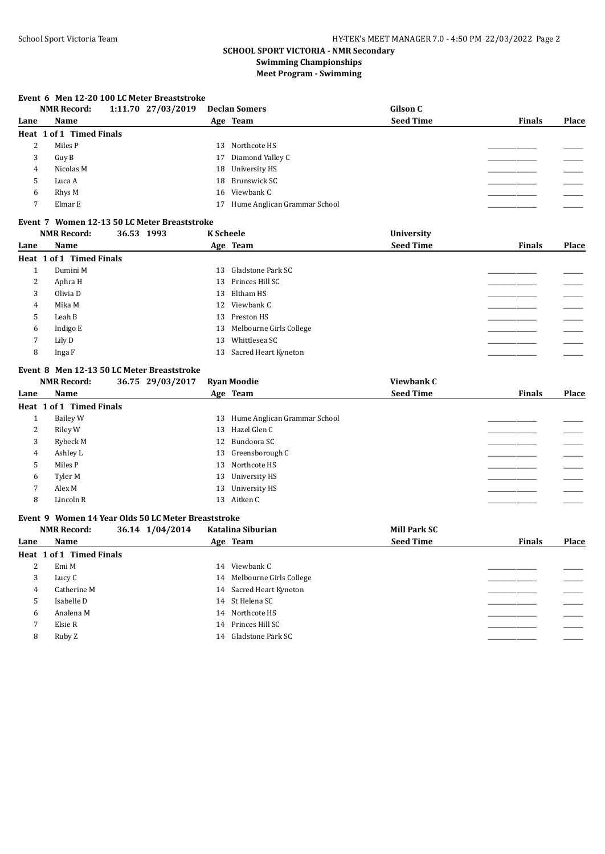#### **Event 6 Men 12-20 100 LC Meter Breaststroke**

|      | <b>NMR Record:</b>       | 1:11.70 27/03/2019 | <b>Declan Somers</b>            | Gilson C         |               |       |
|------|--------------------------|--------------------|---------------------------------|------------------|---------------|-------|
| Lane | Name                     |                    | Age Team                        | <b>Seed Time</b> | <b>Finals</b> | Place |
|      | Heat 1 of 1 Timed Finals |                    |                                 |                  |               |       |
| 4    | Miles P                  |                    | 13 Northcote HS                 |                  |               |       |
| 3    | Guy B                    |                    | 17 Diamond Valley C             |                  |               |       |
| 4    | Nicolas M                |                    | 18 University HS                |                  |               |       |
|      | Luca A                   |                    | 18 Brunswick SC                 |                  |               |       |
| 6    | Rhys M                   |                    | 16 Viewbank C                   |                  |               |       |
|      | Elmar E                  |                    | 17 Hume Anglican Grammar School |                  |               |       |
|      |                          |                    |                                 |                  |               |       |

#### **Event 7 Women 12-13 50 LC Meter Breaststroke**

|      | <b>NMR Record:</b>       | 36.53 1993 | <b>K</b> Scheele |                            | <b>University</b> |               |       |
|------|--------------------------|------------|------------------|----------------------------|-------------------|---------------|-------|
| Lane | Name                     |            |                  | Age Team                   | <b>Seed Time</b>  | <b>Finals</b> | Place |
|      | Heat 1 of 1 Timed Finals |            |                  |                            |                   |               |       |
|      | Dumini M                 |            | 13               | Gladstone Park SC          |                   |               |       |
| 2    | Aphra H                  |            | 13               | Princes Hill SC            |                   |               |       |
| 3    | Olivia D                 |            |                  | 13 Eltham HS               |                   |               |       |
| 4    | Mika M                   |            | 12               | Viewbank C                 |                   |               |       |
| 5    | Leah B                   |            |                  | 13 Preston HS              |                   |               |       |
| 6    | Indigo E                 |            |                  | 13 Melbourne Girls College |                   |               |       |
| 7    | Lily D                   |            | 13               | Whittlesea SC              |                   |               |       |
| 8    | Inga F                   |            |                  | 13 Sacred Heart Kyneton    |                   |               |       |
|      |                          |            |                  |                            |                   |               |       |

## **Event 8 Men 12-13 50 LC Meter Breaststroke**<br>NMR Record: 26.75 29/03/2017

|      | <b>NMR Record:</b>       | 36.75 29/03/2017 |    | <b>Ryan Moodie</b>           | Viewbank C       |               |       |
|------|--------------------------|------------------|----|------------------------------|------------------|---------------|-------|
| Lane | Name                     |                  |    | Age Team                     | <b>Seed Time</b> | <b>Finals</b> | Place |
|      | Heat 1 of 1 Timed Finals |                  |    |                              |                  |               |       |
|      | Bailey W                 |                  | 13 | Hume Anglican Grammar School |                  |               |       |
| 2    | Riley W                  |                  |    | 13 Hazel Glen C              |                  |               |       |
| 3    | Rybeck M                 |                  |    | 12 Bundoora SC               |                  |               |       |
| 4    | Ashley L                 |                  |    | 13 Greensborough C           |                  |               |       |
| 5    | Miles P                  |                  | 13 | Northcote HS                 |                  |               |       |
| 6    | Tyler M                  |                  | 13 | University HS                |                  |               |       |
| 7    | Alex M                   |                  | 13 | University HS                |                  |               |       |
| 8    | Lincoln R                |                  |    | 13 Aitken C                  |                  |               |       |

#### **Event 9 Women 14 Year Olds 50 LC Meter Breaststroke**

|      | <b>NMR Record:</b>       | 36.14 1/04/2014 | Katalina Siburian          | Mill Park SC     |               |       |
|------|--------------------------|-----------------|----------------------------|------------------|---------------|-------|
| Lane | <b>Name</b>              |                 | Age Team                   | <b>Seed Time</b> | <b>Finals</b> | Place |
|      | Heat 1 of 1 Timed Finals |                 |                            |                  |               |       |
| 2    | Emi M                    |                 | Viewbank C<br>14           |                  |               |       |
| 3    | Lucy C                   |                 | 14 Melbourne Girls College |                  |               |       |
| 4    | Catherine M              |                 | 14 Sacred Heart Kyneton    |                  |               |       |
| 5    | Isabelle D               |                 | 14 St Helena SC            |                  |               |       |
| 6    | Analena M                |                 | 14 Northcote HS            |                  |               |       |
|      | Elsie R                  |                 | 14 Princes Hill SC         |                  |               |       |
| 8    | Ruby Z                   |                 | 14 Gladstone Park SC       |                  |               |       |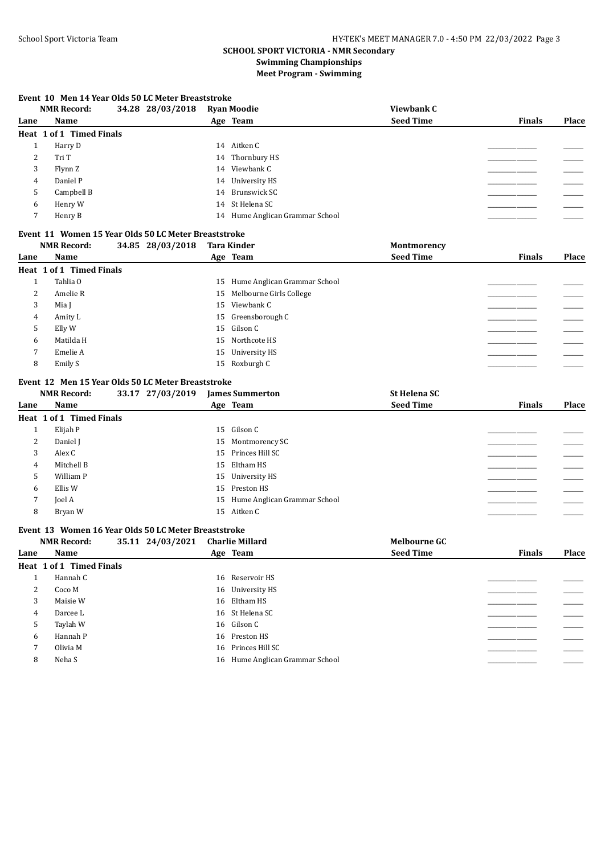#### **Event 10 Men 14 Year Olds 50 LC Meter Breaststroke**

|      | <b>NMR Record:</b>       | 34.28 28/03/2018 | <b>Ryan Moodie</b>              | Viewbank C       |               |       |
|------|--------------------------|------------------|---------------------------------|------------------|---------------|-------|
| Lane | Name                     |                  | Age Team                        | <b>Seed Time</b> | <b>Finals</b> | Place |
|      | Heat 1 of 1 Timed Finals |                  |                                 |                  |               |       |
|      | Harry D                  |                  | 14 Aitken C                     |                  |               |       |
| 2    | Tri T                    |                  | 14 Thornbury HS                 |                  |               |       |
| 3    | Flynn Z                  |                  | 14 Viewbank C                   |                  |               |       |
| 4    | Daniel P                 |                  | 14 University HS                |                  |               |       |
| 5    | Campbell B               |                  | 14 Brunswick SC                 |                  |               |       |
| 6    | Henry W                  |                  | 14 St Helena SC                 |                  |               |       |
|      | Henry B                  |                  | 14 Hume Anglican Grammar School |                  |               |       |
|      |                          |                  |                                 |                  |               |       |

#### **Event 11 Women 15 Year Olds 50 LC Meter Breaststroke**

|      | <b>NMR Record:</b>       | 34.85 28/03/2018 | <b>Tara Kinder</b>              | Montmorency      |               |       |
|------|--------------------------|------------------|---------------------------------|------------------|---------------|-------|
| Lane | <b>Name</b>              |                  | Age Team                        | <b>Seed Time</b> | <b>Finals</b> | Place |
|      | Heat 1 of 1 Timed Finals |                  |                                 |                  |               |       |
|      | Tahlia O                 |                  | 15 Hume Anglican Grammar School |                  |               |       |
| 2    | Amelie R                 |                  | 15 Melbourne Girls College      |                  |               |       |
| 3    | Mia J                    |                  | 15 Viewbank C                   |                  |               |       |
| 4    | Amity L                  |                  | 15 Greensborough C              |                  |               |       |
| 5    | Elly W                   |                  | 15 Gilson C                     |                  |               |       |
| 6    | Matilda H                |                  | 15 Northcote HS                 |                  |               |       |
|      | Emelie A                 |                  | 15 University HS                |                  |               |       |
| 8    | Emily S                  |                  | 15 Roxburgh C                   |                  |               |       |

#### **Event 12 Men 15 Year Olds 50 LC Meter Breaststroke**

|      | <b>NMR Record:</b>       | 33.17 27/03/2019 | <b>James Summerton</b>          | <b>St Helena SC</b> |               |       |
|------|--------------------------|------------------|---------------------------------|---------------------|---------------|-------|
| Lane | Name                     |                  | Age Team                        | <b>Seed Time</b>    | <b>Finals</b> | Place |
|      | Heat 1 of 1 Timed Finals |                  |                                 |                     |               |       |
|      | Elijah P                 |                  | 15 Gilson C                     |                     |               |       |
| 2    | Daniel J                 |                  | 15 Montmorency SC               |                     |               |       |
| 3    | Alex C                   |                  | 15 Princes Hill SC              |                     |               |       |
| 4    | Mitchell B               |                  | 15 Eltham HS                    |                     |               |       |
| 5    | William P                |                  | 15 University HS                |                     |               |       |
| 6    | Ellis W                  |                  | 15 Preston HS                   |                     |               |       |
| 7    | Joel A                   |                  | 15 Hume Anglican Grammar School |                     |               |       |
| 8    | Bryan W                  |                  | 15 Aitken C                     |                     |               |       |

#### **Event 13 Women 16 Year Olds 50 LC Meter Breaststroke**

|      | <b>NMR Record:</b>       | 35.11 24/03/2021 | <b>Charlie Millard</b>          | <b>Melbourne GC</b> |               |       |
|------|--------------------------|------------------|---------------------------------|---------------------|---------------|-------|
| Lane | Name                     |                  | Age Team                        | <b>Seed Time</b>    | <b>Finals</b> | Place |
|      | Heat 1 of 1 Timed Finals |                  |                                 |                     |               |       |
|      | Hannah C                 |                  | 16 Reservoir HS                 |                     |               |       |
| 2    | Coco M                   |                  | 16 University HS                |                     |               |       |
| 3    | Maisie W                 |                  | 16 Eltham HS                    |                     |               |       |
| 4    | Darcee L                 |                  | 16 St Helena SC                 |                     |               |       |
| 5    | Taylah W                 |                  | 16 Gilson C                     |                     |               |       |
| 6    | Hannah P                 |                  | 16 Preston HS                   |                     |               |       |
| 7    | Olivia M                 |                  | 16 Princes Hill SC              |                     |               |       |
| 8    | Neha S                   |                  | 16 Hume Anglican Grammar School |                     |               |       |
|      |                          |                  |                                 |                     |               |       |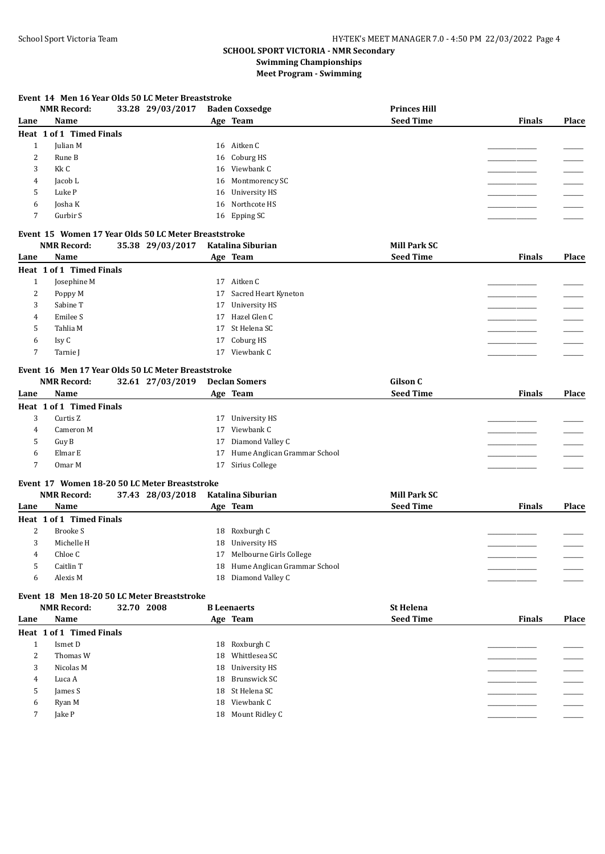#### **Event 14 Men 16 Year Olds 50 LC Meter Breaststroke**

|      | <b>NMR Record:</b>       | 33.28 29/03/2017 | <b>Baden Coxsedge</b> | <b>Princes Hill</b> |               |              |
|------|--------------------------|------------------|-----------------------|---------------------|---------------|--------------|
| Lane | Name                     | Age Team         |                       | <b>Seed Time</b>    | <b>Finals</b> | <b>Place</b> |
|      | Heat 1 of 1 Timed Finals |                  |                       |                     |               |              |
|      | Julian M                 |                  | 16 Aitken C           |                     |               |              |
| 2    | Rune B                   |                  | 16 Coburg HS          |                     |               |              |
| 3    | Kk C                     |                  | 16 Viewbank C         |                     |               |              |
| 4    | Jacob L                  |                  | 16 Montmorency SC     |                     |               |              |
| 5    | Luke P                   |                  | 16 University HS      |                     |               |              |
| 6    | Josha K                  |                  | 16 Northcote HS       |                     |               |              |
|      | Gurbir S                 |                  | 16 Epping SC          |                     |               |              |
|      |                          |                  |                       |                     |               |              |

## **Event 15 Women 17 Year Olds 50 LC Meter Breaststroke**

|      | <b>NMR Record:</b>       | 35.38 29/03/2017 | Katalina Siburian       | <b>Mill Park SC</b> |               |       |
|------|--------------------------|------------------|-------------------------|---------------------|---------------|-------|
| Lane | Name                     |                  | Age Team                | <b>Seed Time</b>    | <b>Finals</b> | Place |
|      | Heat 1 of 1 Timed Finals |                  |                         |                     |               |       |
|      | Josephine M              |                  | 17 Aitken C             |                     |               |       |
| 2    | Poppy M                  |                  | 17 Sacred Heart Kyneton |                     |               |       |
| 3    | Sabine T                 |                  | 17 University HS        |                     |               |       |
| 4    | Emilee S                 |                  | 17 Hazel Glen C         |                     |               |       |
|      | Tahlia M                 |                  | 17 St Helena SC         |                     |               |       |
| 6    | Isy C                    |                  | 17 Coburg HS            |                     |               |       |
|      | Tarnie I                 |                  | Viewbank C<br>17        |                     |               |       |

#### **Event 16 Men 17 Year Olds 50 LC Meter Breaststroke**

|      | <b>NMR Record:</b>       | 32.61 27/03/2019 | <b>Declan Somers</b> |                                 | Gilson C         |               |              |
|------|--------------------------|------------------|----------------------|---------------------------------|------------------|---------------|--------------|
| Lane | <b>Name</b>              |                  | Age Team             |                                 | <b>Seed Time</b> | <b>Finals</b> | <b>Place</b> |
|      | Heat 1 of 1 Timed Finals |                  |                      |                                 |                  |               |              |
| 3    | Curtis Z                 |                  | 17                   | University HS                   |                  |               |              |
| 4    | Cameron M                |                  | 17                   | Viewbank C                      |                  |               |              |
|      | Guy B                    |                  | 17                   | Diamond Valley C                |                  |               |              |
| 6    | Elmar E                  |                  |                      | 17 Hume Anglican Grammar School |                  |               |              |
|      | Omar M                   |                  | 17                   | Sirius College                  |                  |               |              |

#### **Event 17 Women 18-20 50 LC Meter Breaststroke**

|      | <b>NMR Record:</b>       | 37.43 28/03/2018 | Katalina Siburian               | <b>Mill Park SC</b> |               |       |
|------|--------------------------|------------------|---------------------------------|---------------------|---------------|-------|
| Lane | Name                     |                  | Age Team                        | <b>Seed Time</b>    | <b>Finals</b> | Place |
|      | Heat 1 of 1 Timed Finals |                  |                                 |                     |               |       |
| ∠    | Brooke S                 |                  | 18 Roxburgh C                   |                     |               |       |
|      | Michelle H               |                  | 18 University HS                |                     |               |       |
| 4    | Chloe C                  |                  | 17 Melbourne Girls College      |                     |               |       |
|      | Caitlin T                |                  | 18 Hume Anglican Grammar School |                     |               |       |
| h    | Alexis M                 |                  | 18 Diamond Valley C             |                     |               |       |
|      |                          |                  |                                 |                     |               |       |

## **Event 18 Men 18-20 50 LC Meter Breaststroke**

|      | <b>NMR Record:</b>       | 32.70 2008 | <b>B</b> Leenaerts | <b>St Helena</b> |               |       |
|------|--------------------------|------------|--------------------|------------------|---------------|-------|
| Lane | Name                     |            | Age Team           | <b>Seed Time</b> | <b>Finals</b> | Place |
|      | Heat 1 of 1 Timed Finals |            |                    |                  |               |       |
|      | Ismet D                  |            | 18 Roxburgh C      |                  |               |       |
| 2    | Thomas W                 |            | 18 Whittlesea SC   |                  |               |       |
| 3    | Nicolas M                |            | 18 University HS   |                  |               |       |
| 4    | Luca A                   |            | 18 Brunswick SC    |                  |               |       |
| 5    | James S                  |            | 18 St Helena SC    |                  |               |       |
| 6    | Ryan M                   |            | 18 Viewbank C      |                  |               |       |
|      | Jake P                   |            | 18 Mount Ridley C  |                  |               |       |
|      |                          |            |                    |                  |               |       |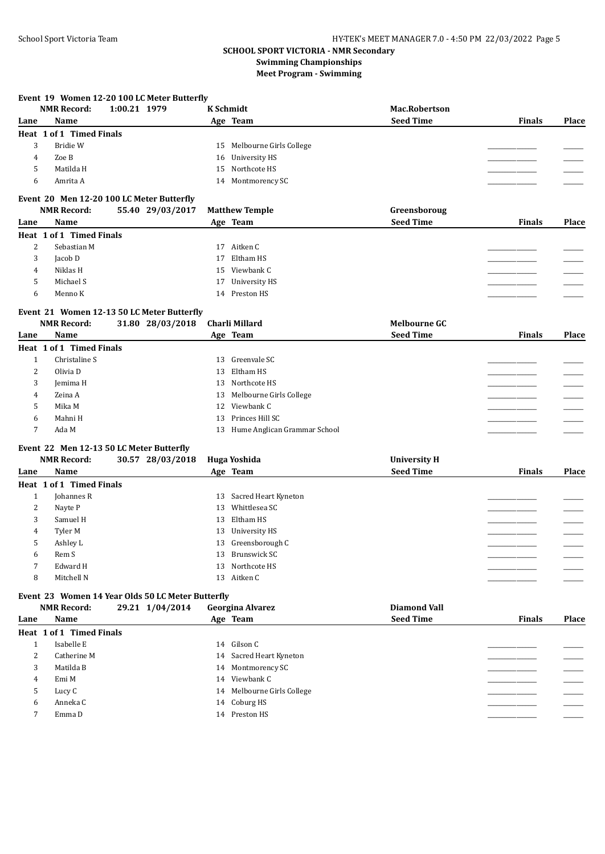**Event 19 Women 12-20 100 LC Meter Butterfly**

## **SCHOOL SPORT VICTORIA - NMR Secondary Swimming Championships Meet Program - Swimming**

|                | <b>NMR Record:</b>                                                      | 1:00.21 1979 |                  |    | <b>K</b> Schmidt                | <b>Mac.Robertson</b> |               |              |
|----------------|-------------------------------------------------------------------------|--------------|------------------|----|---------------------------------|----------------------|---------------|--------------|
| Lane           | Name                                                                    |              |                  |    | Age Team                        | <b>Seed Time</b>     | <b>Finals</b> | <b>Place</b> |
|                | Heat 1 of 1 Timed Finals                                                |              |                  |    |                                 |                      |               |              |
| 3              | Bridie W                                                                |              |                  |    | 15 Melbourne Girls College      |                      |               |              |
| 4              | Zoe B                                                                   |              |                  | 16 | <b>University HS</b>            |                      |               |              |
| 5              | Matilda H                                                               |              |                  | 15 | Northcote HS                    |                      |               |              |
| 6              | Amrita A                                                                |              |                  |    | 14 Montmorency SC               |                      |               |              |
|                | Event 20 Men 12-20 100 LC Meter Butterfly                               |              |                  |    |                                 |                      |               |              |
|                | <b>NMR Record:</b>                                                      |              | 55.40 29/03/2017 |    | <b>Matthew Temple</b>           | Greensboroug         |               |              |
| Lane           | Name                                                                    |              |                  |    | Age Team                        | <b>Seed Time</b>     | <b>Finals</b> | Place        |
|                | Heat 1 of 1 Timed Finals                                                |              |                  |    |                                 |                      |               |              |
| 2              | Sebastian M                                                             |              |                  |    | 17 Aitken C                     |                      |               |              |
| 3              | Jacob D                                                                 |              |                  | 17 | Eltham HS                       |                      |               |              |
|                |                                                                         |              |                  |    | Viewbank C                      |                      |               |              |
| 4              | Niklas H                                                                |              |                  | 15 |                                 |                      |               |              |
| 5              | Michael S                                                               |              |                  | 17 | <b>University HS</b>            |                      |               |              |
| 6              | Menno K                                                                 |              |                  |    | 14 Preston HS                   |                      |               |              |
|                | Event 21 Women 12-13 50 LC Meter Butterfly                              |              |                  |    |                                 |                      |               |              |
|                | <b>NMR Record:</b>                                                      |              | 31.80 28/03/2018 |    | Charli Millard                  | <b>Melbourne GC</b>  |               |              |
| Lane           | Name                                                                    |              |                  |    | Age Team                        | <b>Seed Time</b>     | <b>Finals</b> | Place        |
|                | Heat 1 of 1 Timed Finals                                                |              |                  |    |                                 |                      |               |              |
| $\mathbf{1}$   | Christaline S                                                           |              |                  | 13 | Greenvale SC                    |                      |               |              |
| $\overline{2}$ | Olivia D                                                                |              |                  | 13 | Eltham HS                       |                      |               |              |
| 3              | Jemima H                                                                |              |                  | 13 | Northcote HS                    |                      |               |              |
| 4              | Zeina A                                                                 |              |                  | 13 | Melbourne Girls College         |                      |               |              |
| 5              | Mika M                                                                  |              |                  |    | 12 Viewbank C                   |                      |               |              |
| 6              | Mahni H                                                                 |              |                  | 13 | Princes Hill SC                 |                      |               |              |
| 7              | Ada M                                                                   |              |                  |    | 13 Hume Anglican Grammar School |                      |               |              |
|                | Event 22 Men 12-13 50 LC Meter Butterfly                                |              |                  |    |                                 |                      |               |              |
|                | <b>NMR Record:</b>                                                      |              | 30.57 28/03/2018 |    | Huga Yoshida                    | <b>University H</b>  |               |              |
| Lane           | Name                                                                    |              |                  |    | Age Team                        | <b>Seed Time</b>     | <b>Finals</b> | <b>Place</b> |
|                | Heat 1 of 1 Timed Finals                                                |              |                  |    |                                 |                      |               |              |
| $\mathbf{1}$   | Johannes R                                                              |              |                  | 13 | Sacred Heart Kyneton            |                      |               |              |
| 2              | Nayte P                                                                 |              |                  | 13 | Whittlesea SC                   |                      |               |              |
| 3              | Samuel H                                                                |              |                  | 13 | Eltham HS                       |                      |               |              |
| 4              | Tyler M                                                                 |              |                  | 13 | <b>University HS</b>            |                      |               |              |
| 5              | Ashley L                                                                |              |                  | 13 | Greensborough C                 |                      |               |              |
| 6              | Rem S                                                                   |              |                  | 13 | Brunswick SC                    |                      |               |              |
| 7              | Edward H                                                                |              |                  |    | 13 Northcote HS                 |                      |               |              |
| 8              | Mitchell N                                                              |              |                  |    | 13 Aitken C                     |                      |               |              |
|                |                                                                         |              |                  |    |                                 |                      |               |              |
|                | Event 23 Women 14 Year Olds 50 LC Meter Butterfly<br><b>NMR Record:</b> |              | 29.21 1/04/2014  |    | <b>Georgina Alvarez</b>         | <b>Diamond Vall</b>  |               |              |
| Lane           | Name                                                                    |              |                  |    | Age Team                        | <b>Seed Time</b>     | <b>Finals</b> | <b>Place</b> |
|                | Heat 1 of 1 Timed Finals                                                |              |                  |    |                                 |                      |               |              |
| $\mathbf{1}$   | Isabelle E                                                              |              |                  |    | 14 Gilson C                     |                      |               |              |
| $\overline{2}$ | Catherine M                                                             |              |                  |    | 14 Sacred Heart Kyneton         |                      |               |              |
|                | Matilda B                                                               |              |                  |    | 14 Montmorency SC               |                      |               |              |
| 3              |                                                                         |              |                  |    | 14 Viewbank C                   |                      |               |              |
| 4              | Emi M                                                                   |              |                  |    |                                 |                      |               |              |
| 5              | Lucy C                                                                  |              |                  |    | 14 Melbourne Girls College      |                      |               |              |
| 6              | Anneka C                                                                |              |                  |    | 14 Coburg HS                    |                      |               |              |
| 7              | Emma D                                                                  |              |                  |    | 14 Preston HS                   |                      |               |              |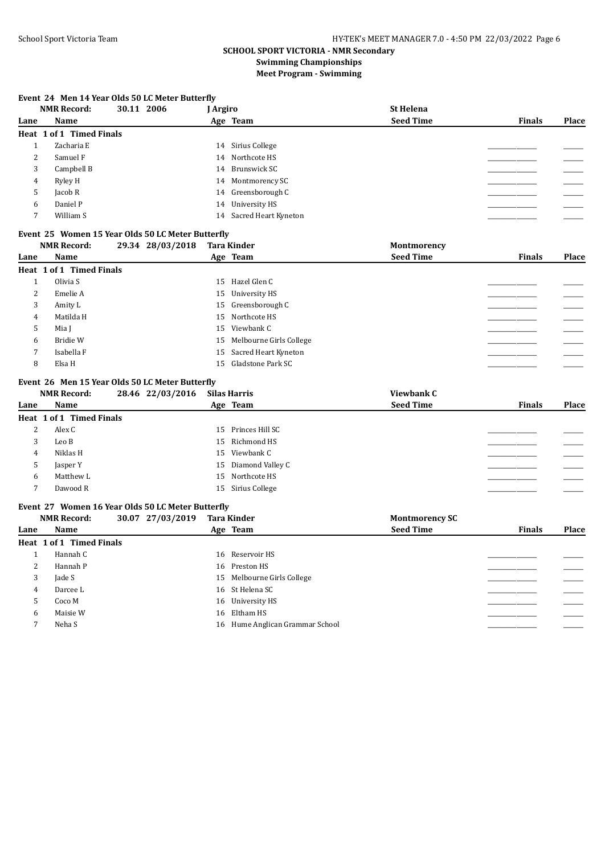## **Event 24 Men 14 Year Olds 50 LC Meter Butterfly**

| <b>NMR Record:</b> | 30.11 2006 | J Argiro                 | <b>St Helena</b> |               |       |
|--------------------|------------|--------------------------|------------------|---------------|-------|
| Name               |            | Age Team                 | <b>Seed Time</b> | <b>Finals</b> | Place |
|                    |            |                          |                  |               |       |
| Zacharia E         |            | 14 Sirius College        |                  |               |       |
| 2<br>Samuel F      |            | 14 Northcote HS          |                  |               |       |
| 3<br>Campbell B    |            | 14 Brunswick SC          |                  |               |       |
| Ryley H<br>4       |            | 14 Montmorency SC        |                  |               |       |
| Jacob R            |            | 14 Greensborough C       |                  |               |       |
| Daniel P           |            | 14 University HS         |                  |               |       |
| William S          |            | 14 Sacred Heart Kyneton  |                  |               |       |
|                    |            | Heat 1 of 1 Timed Finals |                  |               |       |

## **Event 25 Women 15 Year Olds 50 LC Meter Butterfly**

|      | <b>NMR Record:</b>       | 29.34 28/03/2018 | <b>Tara Kinder</b>         | Montmorency      |               |       |
|------|--------------------------|------------------|----------------------------|------------------|---------------|-------|
| Lane | Name                     |                  | Age Team                   | <b>Seed Time</b> | <b>Finals</b> | Place |
|      | Heat 1 of 1 Timed Finals |                  |                            |                  |               |       |
|      | Olivia S                 |                  | 15 Hazel Glen C            |                  |               |       |
| 2    | Emelie A                 |                  | 15 University HS           |                  |               |       |
| 3    | Amity L                  |                  | 15 Greensborough C         |                  |               |       |
| 4    | Matilda H                |                  | 15 Northcote HS            |                  |               |       |
| 5    | Mia I                    |                  | 15 Viewbank C              |                  |               |       |
| 6    | Bridie W                 |                  | 15 Melbourne Girls College |                  |               |       |
|      | Isabella F               |                  | 15 Sacred Heart Kyneton    |                  |               |       |
| 8    | Elsa H                   |                  | 15 Gladstone Park SC       |                  |               |       |

#### **Event 26 Men 15 Year Olds 50 LC Meter Butterfly**

|      | <b>NMR Record:</b>       | 28.46 22/03/2016 | <b>Silas Harris</b> | Viewbank C       |               |       |
|------|--------------------------|------------------|---------------------|------------------|---------------|-------|
| Lane | Name                     |                  | Age Team            | <b>Seed Time</b> | <b>Finals</b> | Place |
|      | Heat 1 of 1 Timed Finals |                  |                     |                  |               |       |
| 2    | Alex C                   |                  | 15 Princes Hill SC  |                  |               |       |
| 3    | Leo B                    |                  | 15 Richmond HS      |                  |               |       |
| 4    | Niklas H                 |                  | 15 Viewbank C       |                  |               |       |
| 5    | Jasper Y                 |                  | 15 Diamond Valley C |                  |               |       |
| 6    | Matthew L                |                  | 15 Northcote HS     |                  |               |       |
|      | Dawood R                 |                  | 15 Sirius College   |                  |               |       |
|      |                          |                  |                     |                  |               |       |

#### **Event 27 Women 16 Year Olds 50 LC Meter Butterfly**

|      | <b>NMR Record:</b>       | 30.07 27/03/2019 | Tara Kinder                     | <b>Montmorency SC</b> |               |              |
|------|--------------------------|------------------|---------------------------------|-----------------------|---------------|--------------|
| Lane | Name                     |                  | Age Team                        | <b>Seed Time</b>      | <b>Finals</b> | <b>Place</b> |
|      | Heat 1 of 1 Timed Finals |                  |                                 |                       |               |              |
|      | Hannah C                 |                  | 16 Reservoir HS                 |                       |               |              |
| 2    | Hannah P                 |                  | 16 Preston HS                   |                       |               |              |
| 3    | Jade S                   |                  | 15 Melbourne Girls College      |                       |               |              |
| 4    | Darcee L                 |                  | 16 St Helena SC                 |                       |               |              |
| 5    | Coco M                   |                  | 16 University HS                |                       |               |              |
| 6    | Maisie W                 |                  | 16 Eltham HS                    |                       |               |              |
|      | Neha S                   |                  | 16 Hume Anglican Grammar School |                       |               |              |
|      |                          |                  |                                 |                       |               |              |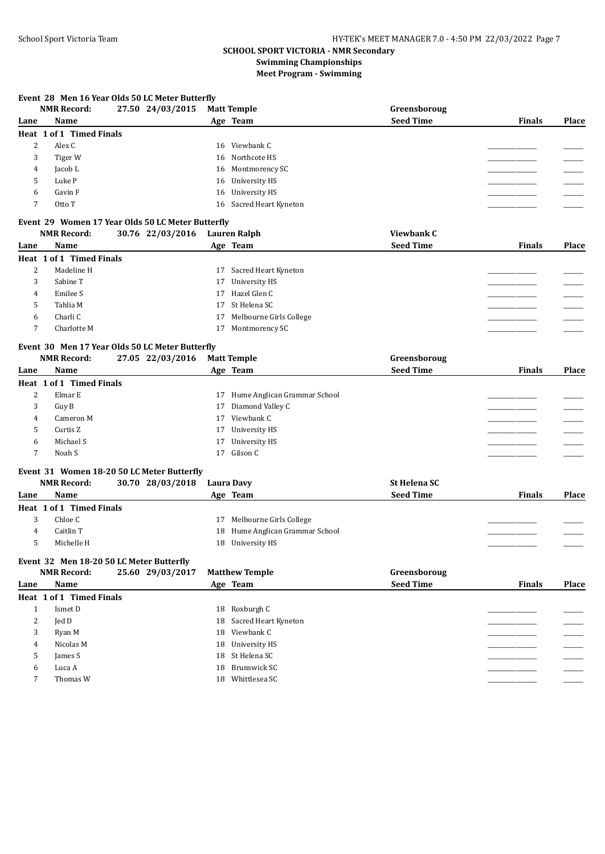## **Event 28 Men 16 Year Olds 50 LC Meter Butterfly**

|      | <b>NMR Record:</b>                                                                          | 27.50 24/03/2015 |    | <b>Matt Temple</b>      | Greensboroug     |               |       |
|------|---------------------------------------------------------------------------------------------|------------------|----|-------------------------|------------------|---------------|-------|
| Lane | Name                                                                                        |                  |    | Age Team                | <b>Seed Time</b> | <b>Finals</b> | Place |
|      | <b>Heat 1 of 1 Timed Finals</b>                                                             |                  |    |                         |                  |               |       |
| 2    | Alex C                                                                                      |                  |    | 16 Viewbank C           |                  |               |       |
| 3    | Tiger W                                                                                     |                  |    | 16 Northcote HS         |                  |               |       |
| 4    | Jacob L                                                                                     |                  | 16 | Montmorency SC          |                  |               |       |
| 5    | Luke P                                                                                      |                  | 16 | University HS           |                  |               |       |
| 6    | Gavin F                                                                                     |                  | 16 | University HS           |                  |               |       |
| 7    | Otto T                                                                                      |                  | 16 | Sacred Heart Kyneton    |                  |               |       |
|      | Event 29 Women 17 Year Olds 50 LC Meter Butterfly<br><b>NMR Record:</b><br>30.76 22/03/2016 |                  |    | Lauren Ralph            | Viewbank C       |               |       |
| Lane | Name                                                                                        |                  |    | Age Team                | <b>Seed Time</b> | <b>Finals</b> | Place |
|      | Heat 1 of 1 Timed Finals                                                                    |                  |    |                         |                  |               |       |
| 2    | Madeline H                                                                                  |                  | 17 | Sacred Heart Kyneton    |                  |               |       |
| 3    | Sabine T                                                                                    |                  | 17 | <b>University HS</b>    |                  |               |       |
| 4    | Emilee S                                                                                    |                  | 17 | Hazel Glen C            |                  |               |       |
| 5    | Tahlia M                                                                                    |                  | 17 | St Helena SC            |                  |               |       |
| 6    | Charli C                                                                                    |                  | 17 | Melbourne Girls College |                  |               |       |
|      | Charlotte M                                                                                 |                  | 17 | Montmorency SC          |                  |               |       |

#### **Event 30 Men 17 Year Olds 50 LC Meter Butterfly**

|      | <b>NMR Record:</b>       | 27.05 22/03/2016 | <b>Matt Temple</b>              | Greensboroug     |               |       |
|------|--------------------------|------------------|---------------------------------|------------------|---------------|-------|
| Lane | Name                     |                  | Age Team                        | <b>Seed Time</b> | <b>Finals</b> | Place |
|      | Heat 1 of 1 Timed Finals |                  |                                 |                  |               |       |
| 2    | Elmar E                  |                  | 17 Hume Anglican Grammar School |                  |               |       |
| 3    | Guy B                    |                  | 17 Diamond Valley C             |                  |               |       |
| 4    | Cameron M                |                  | 17 Viewbank C                   |                  |               |       |
|      | Curtis Z                 |                  | 17 University HS                |                  |               |       |
| 6    | Michael S                |                  | 17 University HS                |                  |               |       |
|      | Noah S                   |                  | 17 Gilson C                     |                  |               |       |
|      |                          |                  |                                 |                  |               |       |

#### **Event 31 Women 18-20 50 LC Meter Butterfly**

|      | NMR Record:              | 30.70 28/03/2018 | Laura Davy | <b>St Helena SC</b>             |               |              |
|------|--------------------------|------------------|------------|---------------------------------|---------------|--------------|
| Lane | <b>Name</b>              |                  | Age Team   | <b>Seed Time</b>                | <b>Finals</b> | <b>Place</b> |
|      | Heat 1 of 1 Timed Finals |                  |            |                                 |               |              |
|      | Chloe C                  |                  |            | 17 Melbourne Girls College      |               |              |
|      | Caitlin T                |                  |            | 18 Hume Anglican Grammar School |               |              |
|      | Michelle H               |                  | 18         | University HS                   |               |              |

#### **Event 32 Men 18-20 50 LC Meter Butterfly**

|      | <b>NMR Record:</b>       | 25.60 29/03/2017 | <b>Matthew Temple</b>   | Greensboroug     |               |       |
|------|--------------------------|------------------|-------------------------|------------------|---------------|-------|
| Lane | Name                     |                  | Age Team                | <b>Seed Time</b> | <b>Finals</b> | Place |
|      | Heat 1 of 1 Timed Finals |                  |                         |                  |               |       |
|      | Ismet D                  |                  | 18 Roxburgh C           |                  |               |       |
| 2    | Jed D                    |                  | 18 Sacred Heart Kyneton |                  |               |       |
| 3    | Ryan M                   |                  | 18 Viewbank C           |                  |               |       |
| 4    | Nicolas M                |                  | 18 University HS        |                  |               |       |
| 5    | James S                  |                  | 18 St Helena SC         |                  |               |       |
| 6    | Luca A                   |                  | 18 Brunswick SC         |                  |               |       |
|      | Thomas W                 |                  | Whittlesea SC<br>18     |                  |               |       |
|      |                          |                  |                         |                  |               |       |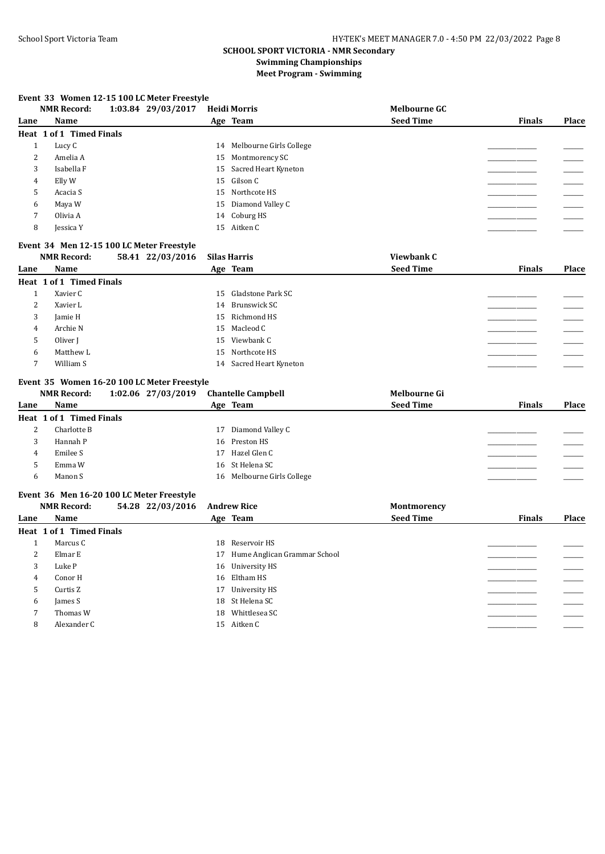## **Event 33 Women 12-15 100 LC Meter Freestyle**

|                | <b>NMR Record:</b>       | 1:03.84 29/03/2017 | <b>Heidi Morris</b>        | <b>Melbourne GC</b> |               |       |
|----------------|--------------------------|--------------------|----------------------------|---------------------|---------------|-------|
| Lane           | Name                     |                    | Age Team                   | <b>Seed Time</b>    | <b>Finals</b> | Place |
|                | Heat 1 of 1 Timed Finals |                    |                            |                     |               |       |
|                | Lucy C                   |                    | 14 Melbourne Girls College |                     |               |       |
| 2              | Amelia A                 |                    | 15 Montmorency SC          |                     |               |       |
| 3              | Isabella F               |                    | 15 Sacred Heart Kyneton    |                     |               |       |
| 4              | Elly W                   |                    | 15 Gilson C                |                     |               |       |
| כ              | Acacia S                 |                    | 15 Northcote HS            |                     |               |       |
| 6              | Maya W                   |                    | 15 Diamond Valley C        |                     |               |       |
| $\overline{ }$ | Olivia A                 |                    | 14 Coburg HS               |                     |               |       |
| 8              | Jessica Y                |                    | 15 Aitken C                |                     |               |       |
|                |                          |                    |                            |                     |               |       |

## **Event 34 Men 12-15 100 LC Meter Freestyle**

|      | <b>NMR Record:</b>       | 58.41 22/03/2016 | Silas Harris            | Viewbank C       |               |       |
|------|--------------------------|------------------|-------------------------|------------------|---------------|-------|
| Lane | Name                     |                  | Age Team                | <b>Seed Time</b> | <b>Finals</b> | Place |
|      | Heat 1 of 1 Timed Finals |                  |                         |                  |               |       |
|      | Xavier C                 |                  | 15 Gladstone Park SC    |                  |               |       |
| 2    | Xavier L                 |                  | Brunswick SC<br>14      |                  |               |       |
| 3    | Jamie H                  |                  | 15 Richmond HS          |                  |               |       |
| 4    | Archie N                 |                  | 15 Macleod C            |                  |               |       |
| 5    | Oliver J                 |                  | 15 Viewbank C           |                  |               |       |
| 6    | Matthew L                |                  | 15 Northcote HS         |                  |               |       |
|      | William S                |                  | 14 Sacred Heart Kyneton |                  |               |       |

#### **Event 35 Women 16-20 100 LC Meter Freestyle**

|      | <b>NMR Record:</b>       | 1:02.06 27/03/2019 Chantelle Campbell |                            | Melbourne Gi     |               |       |
|------|--------------------------|---------------------------------------|----------------------------|------------------|---------------|-------|
| Lane | Name                     |                                       | Age Team                   | <b>Seed Time</b> | <b>Finals</b> | Place |
|      | Heat 1 of 1 Timed Finals |                                       |                            |                  |               |       |
| ▵    | Charlotte B              |                                       | 17 Diamond Valley C        |                  |               |       |
|      | Hannah P                 |                                       | 16 Preston HS              |                  |               |       |
| 4    | Emilee S                 |                                       | 17 Hazel Glen C            |                  |               |       |
|      | Emma W                   |                                       | 16 St Helena SC            |                  |               |       |
| 6    | Manon S                  |                                       | 16 Melbourne Girls College |                  |               |       |

#### **Event 36 Men 16-20 100 LC Meter Freestyle**

|      | <b>NMR Record:</b>       | 54.28 22/03/2016 | <b>Andrew Rice</b>              | Montmorency      |               |       |
|------|--------------------------|------------------|---------------------------------|------------------|---------------|-------|
| Lane | Name                     |                  | Age Team                        | <b>Seed Time</b> | <b>Finals</b> | Place |
|      | Heat 1 of 1 Timed Finals |                  |                                 |                  |               |       |
|      | Marcus C                 |                  | 18 Reservoir HS                 |                  |               |       |
| 2    | Elmar E                  |                  | 17 Hume Anglican Grammar School |                  |               |       |
| 3    | Luke P                   |                  | 16 University HS                |                  |               |       |
| 4    | Conor H                  |                  | 16 Eltham HS                    |                  |               |       |
| 5    | Curtis Z                 |                  | 17 University HS                |                  |               |       |
| 6    | James S                  |                  | 18 St Helena SC                 |                  |               |       |
|      | Thomas W                 |                  | Whittlesea SC<br>18             |                  |               |       |
| 8    | Alexander C              |                  | 15 Aitken C                     |                  |               |       |
|      |                          |                  |                                 |                  |               |       |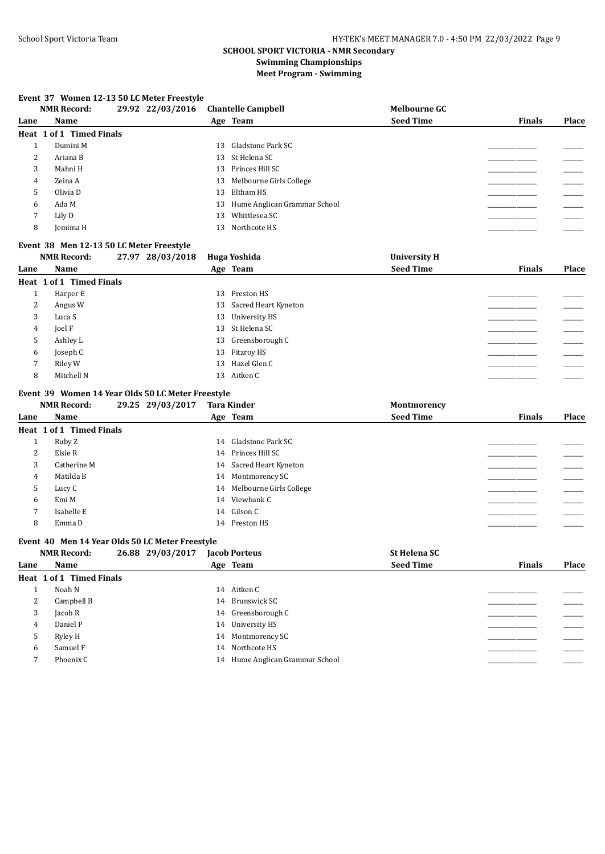## **Event 37 Women 12-13 50 LC Meter Freestyle**

|      | <b>NMR Record:</b>       | 29.92 22/03/2016 |    | <b>Chantelle Campbell</b>       | <b>Melbourne GC</b> |               |       |
|------|--------------------------|------------------|----|---------------------------------|---------------------|---------------|-------|
| Lane | Name                     |                  |    | Age Team                        | <b>Seed Time</b>    | <b>Finals</b> | Place |
|      | Heat 1 of 1 Timed Finals |                  |    |                                 |                     |               |       |
|      | Dumini M                 |                  |    | 13 Gladstone Park SC            |                     |               |       |
| ∠    | Ariana B                 |                  |    | 13 St Helena SC                 |                     |               |       |
| 3    | Mahni H                  |                  |    | 13 Princes Hill SC              |                     |               |       |
| 4    | Zeina A                  |                  |    | 13 Melbourne Girls College      |                     |               |       |
| 5    | Olivia D                 |                  |    | 13 Eltham HS                    |                     |               |       |
| 6    | Ada M                    |                  |    | 13 Hume Anglican Grammar School |                     |               |       |
|      | Lily D                   |                  | 13 | Whittlesea SC                   |                     |               |       |
| 8    | Jemima H                 |                  | 13 | Northcote HS                    |                     |               |       |
|      |                          |                  |    |                                 |                     |               |       |

## **Event 38 Men 12-13 50 LC Meter Freestyle**

|      | <b>NMR Record:</b>       | 27.97 28/03/2018 |    | Huga Yoshida            | <b>University H</b> |               |       |
|------|--------------------------|------------------|----|-------------------------|---------------------|---------------|-------|
| Lane | Name                     |                  |    | Age Team                | <b>Seed Time</b>    | <b>Finals</b> | Place |
|      | Heat 1 of 1 Timed Finals |                  |    |                         |                     |               |       |
| T    | Harper E                 |                  | 13 | Preston HS              |                     |               |       |
| 2    | Angus W                  |                  |    | 13 Sacred Heart Kyneton |                     |               |       |
| 3    | Luca S                   |                  |    | 13 University HS        |                     |               |       |
| 4    | Joel F                   |                  |    | 13 St Helena SC         |                     |               |       |
| 5    | Ashley L                 |                  |    | 13 Greensborough C      |                     |               |       |
| 6    | Joseph C                 |                  |    | 13 Fitzroy HS           |                     |               |       |
| 7    | Riley W                  |                  |    | 13 Hazel Glen C         |                     |               |       |
| 8    | Mitchell N               |                  |    | 13 Aitken C             |                     |               |       |

## **Event 39 Women 14 Year Olds 50 LC Meter Freestyle**

|      | <b>NMR Record:</b>       | 29.25 29/03/2017 | <b>Tara Kinder</b>         | Montmorency      |               |       |
|------|--------------------------|------------------|----------------------------|------------------|---------------|-------|
| Lane | Name                     |                  | Age Team                   | <b>Seed Time</b> | <b>Finals</b> | Place |
|      | Heat 1 of 1 Timed Finals |                  |                            |                  |               |       |
|      | Ruby Z                   |                  | 14 Gladstone Park SC       |                  |               |       |
| 2    | Elsie R                  |                  | 14 Princes Hill SC         |                  |               |       |
| 3    | Catherine M              |                  | 14 Sacred Heart Kyneton    |                  |               |       |
| 4    | Matilda B                |                  | 14 Montmorency SC          |                  |               |       |
| C    | Lucy C                   |                  | 14 Melbourne Girls College |                  |               |       |
| 6    | Emi M                    |                  | 14 Viewbank C              |                  |               |       |
| ⇁    | Isabelle E               |                  | 14 Gilson C                |                  |               |       |
| 8    | Emma D                   |                  | 14 Preston HS              |                  |               |       |
|      |                          |                  |                            |                  |               |       |

## **Event 40 Men 14 Year Olds 50 LC Meter Freestyle**

|      | <b>NMR Record:</b>       | 26.88 29/03/2017 | <b>Jacob Porteus</b>            | <b>St Helena SC</b> |               |              |
|------|--------------------------|------------------|---------------------------------|---------------------|---------------|--------------|
| Lane | Name                     |                  | Age Team                        | <b>Seed Time</b>    | <b>Finals</b> | <b>Place</b> |
|      | Heat 1 of 1 Timed Finals |                  |                                 |                     |               |              |
|      | Noah N                   |                  | 14 Aitken C                     |                     |               |              |
| 2    | Campbell B               |                  | 14 Brunswick SC                 |                     |               |              |
| 3    | Jacob R                  |                  | 14 Greensborough C              |                     |               |              |
| 4    | Daniel P                 |                  | 14 University HS                |                     |               |              |
| 5    | Ryley H                  |                  | 14 Montmorency SC               |                     |               |              |
| 6    | Samuel F                 |                  | 14 Northcote HS                 |                     |               |              |
|      | Phoenix C                |                  | 14 Hume Anglican Grammar School |                     |               |              |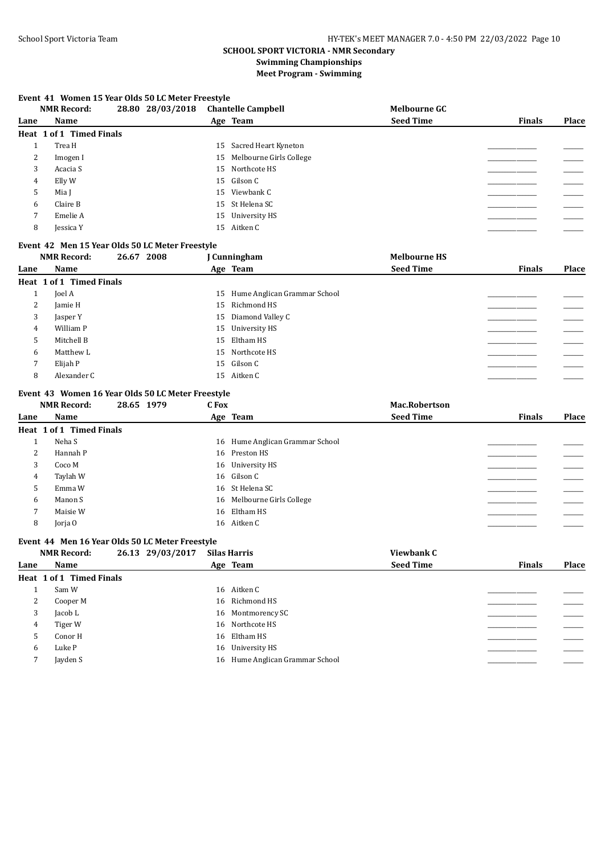#### **Event 41 Women 15 Year Olds 50 LC Meter Freestyle**

|      | <b>NMR Record:</b>       | 28.80 28/03/2018 | <b>Chantelle Campbell</b>  | <b>Melbourne GC</b> |               |       |
|------|--------------------------|------------------|----------------------------|---------------------|---------------|-------|
| Lane | <b>Name</b>              |                  | Age Team                   | <b>Seed Time</b>    | <b>Finals</b> | Place |
|      | Heat 1 of 1 Timed Finals |                  |                            |                     |               |       |
|      | Trea H                   |                  | 15 Sacred Heart Kyneton    |                     |               |       |
| 2    | Imogen I                 |                  | 15 Melbourne Girls College |                     |               |       |
| 3    | Acacia S                 |                  | 15 Northcote HS            |                     |               |       |
| 4    | Elly W                   |                  | 15 Gilson C                |                     |               |       |
| 5    | Mia I                    |                  | 15 Viewbank C              |                     |               |       |
| 6    | Claire B                 |                  | 15 St Helena SC            |                     |               |       |
| 7    | Emelie A                 |                  | 15 University HS           |                     |               |       |
| 8    | Jessica Y                |                  | 15 Aitken C                |                     |               |       |

#### **Event 42 Men 15 Year Olds 50 LC Meter Freestyle**

|          | <b>NMR Record:</b>       | 26.67 2008 | J Cunningham                       | <b>Melbourne HS</b> |               |       |
|----------|--------------------------|------------|------------------------------------|---------------------|---------------|-------|
| Lane     | Name                     |            | Age Team                           | <b>Seed Time</b>    | <b>Finals</b> | Place |
|          | Heat 1 of 1 Timed Finals |            |                                    |                     |               |       |
| <b>L</b> | Joel A                   |            | Hume Anglican Grammar School<br>15 |                     |               |       |
| 2        | Jamie H                  |            | Richmond HS<br>15                  |                     |               |       |
| 3        | Jasper Y                 |            | Diamond Valley C<br>15             |                     |               |       |
| 4        | William P                |            | 15 University HS                   |                     |               |       |
| 5        | Mitchell B               |            | 15 Eltham HS                       |                     |               |       |
| 6        | Matthew L                |            | 15 Northcote HS                    |                     |               |       |
|          | Elijah P                 |            | 15 Gilson C                        |                     |               |       |
| 8        | Alexander C              |            | 15 Aitken C                        |                     |               |       |

#### **Event 43 Women 16 Year Olds 50 LC Meter Freestyle**

|      | <b>NMR Record:</b>       | 28.65 1979 | C Fox |                                 | <b>Mac.Robertson</b> |               |       |
|------|--------------------------|------------|-------|---------------------------------|----------------------|---------------|-------|
| Lane | Name                     |            |       | Age Team                        | <b>Seed Time</b>     | <b>Finals</b> | Place |
|      | Heat 1 of 1 Timed Finals |            |       |                                 |                      |               |       |
|      | Neha S                   |            |       | 16 Hume Anglican Grammar School |                      |               |       |
| 2    | Hannah P                 |            |       | 16 Preston HS                   |                      |               |       |
| 3    | Coco M                   |            |       | 16 University HS                |                      |               |       |
| 4    | Taylah W                 |            |       | 16 Gilson C                     |                      |               |       |
| 5    | Emma W                   |            |       | 16 St Helena SC                 |                      |               |       |
| 6    | Manon S                  |            |       | 16 Melbourne Girls College      |                      |               |       |
| 7    | Maisie W                 |            |       | 16 Eltham HS                    |                      |               |       |
| 8    | Jorja O                  |            |       | 16 Aitken C                     |                      |               |       |

## **Event 44 Men 16 Year Olds 50 LC Meter Freestyle**

|      | <b>NMR Record:</b>       | 26.13 29/03/2017 | <b>Silas Harris</b>             | Viewbank C       |               |              |
|------|--------------------------|------------------|---------------------------------|------------------|---------------|--------------|
| Lane | Name                     |                  | Age Team                        | <b>Seed Time</b> | <b>Finals</b> | <b>Place</b> |
|      | Heat 1 of 1 Timed Finals |                  |                                 |                  |               |              |
|      | Sam W                    |                  | 16 Aitken C                     |                  |               |              |
| 2    | Cooper M                 |                  | 16 Richmond HS                  |                  |               |              |
| 3    | Jacob L                  |                  | 16 Montmorency SC               |                  |               |              |
| 4    | Tiger W                  |                  | 16 Northcote HS                 |                  |               |              |
| 5    | Conor H                  |                  | 16 Eltham HS                    |                  |               |              |
| 6    | Luke P                   |                  | 16 University HS                |                  |               |              |
|      | Jayden S                 |                  | 16 Hume Anglican Grammar School |                  |               |              |
|      |                          |                  |                                 |                  |               |              |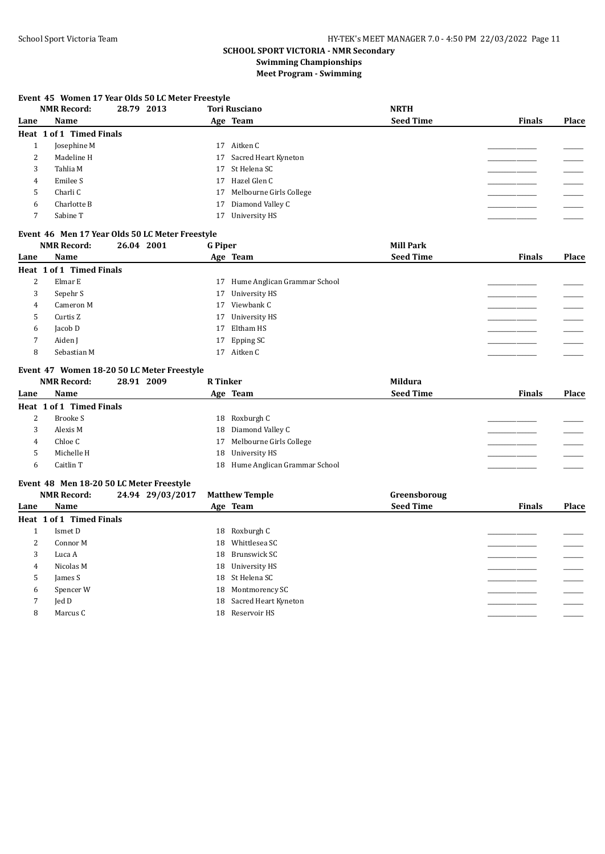## **Event 45 Women 17 Year Olds 50 LC Meter Freestyle**

|      | <b>NMR Record:</b>       | 28.79 2013 | <b>Tori Rusciano</b>       | <b>NRTH</b>      |               |       |
|------|--------------------------|------------|----------------------------|------------------|---------------|-------|
| Lane | <b>Name</b>              |            | Age Team                   | <b>Seed Time</b> | <b>Finals</b> | Place |
|      | Heat 1 of 1 Timed Finals |            |                            |                  |               |       |
|      | Josephine M              |            | Aitken C<br>17             |                  |               |       |
| 2    | Madeline H               |            | 17 Sacred Heart Kyneton    |                  |               |       |
| 3    | Tahlia M                 |            | 17 St Helena SC            |                  |               |       |
| 4    | Emilee S                 |            | 17 Hazel Glen C            |                  |               |       |
|      | Charli C                 |            | 17 Melbourne Girls College |                  |               |       |
| 6    | Charlotte B              |            | 17 Diamond Valley C        |                  |               |       |
|      | Sabine T                 |            | 17 University HS           |                  |               |       |

## **Event 46 Men 17 Year Olds 50 LC Meter Freestyle**

|      | <b>NMR Record:</b>       | 26.04 2001 | <b>G</b> Piper   |                                 | <b>Mill Park</b> |               |       |
|------|--------------------------|------------|------------------|---------------------------------|------------------|---------------|-------|
| Lane | Name                     |            | Age Team         |                                 | <b>Seed Time</b> | <b>Finals</b> | Place |
|      | Heat 1 of 1 Timed Finals |            |                  |                                 |                  |               |       |
| 2    | Elmar E                  |            |                  | 17 Hume Anglican Grammar School |                  |               |       |
| 3    | Sepehr S                 |            | 17 University HS |                                 |                  |               |       |
| 4    | Cameron M                |            | 17 Viewbank C    |                                 |                  |               |       |
| 5    | Curtis Z                 |            | 17 University HS |                                 |                  |               |       |
| 6    | Jacob D                  |            | Eltham HS<br>17  |                                 |                  |               |       |
|      | Aiden J                  |            | 17 Epping SC     |                                 |                  |               |       |
| 8    | Sebastian M              |            | 17 Aitken C      |                                 |                  |               |       |

#### **Event 47 Women 18-20 50 LC Meter Freestyle**

|      | <b>NMR Record:</b>       | 28.91 2009 | <b>R</b> Tinker |                              | Mildura          |               |              |
|------|--------------------------|------------|-----------------|------------------------------|------------------|---------------|--------------|
| Lane | Name                     |            |                 | Age Team                     | <b>Seed Time</b> | <b>Finals</b> | <b>Place</b> |
|      | Heat 1 of 1 Timed Finals |            |                 |                              |                  |               |              |
|      | Brooke S<br>▵            |            |                 | 18 Roxburgh C                |                  |               |              |
|      | Alexis M                 |            |                 | 18 Diamond Valley C          |                  |               |              |
|      | Chloe C<br>4             |            | 17              | Melbourne Girls College      |                  |               |              |
|      | Michelle H               |            |                 | 18 University HS             |                  |               |              |
|      | Caitlin T                |            | 18              | Hume Anglican Grammar School |                  |               |              |

#### **Event 48 Men 18-20 50 LC Meter Freestyle**

|      | <b>NMR Record:</b>       | 24.94 29/03/2017 | <b>Matthew Temple</b>   | Greensboroug     |               |       |
|------|--------------------------|------------------|-------------------------|------------------|---------------|-------|
| Lane | Name                     |                  | Age Team                | <b>Seed Time</b> | <b>Finals</b> | Place |
|      | Heat 1 of 1 Timed Finals |                  |                         |                  |               |       |
|      | Ismet D                  |                  | 18 Roxburgh C           |                  |               |       |
| 2    | Connor M                 |                  | Whittlesea SC<br>18     |                  |               |       |
| 3    | Luca A                   |                  | 18 Brunswick SC         |                  |               |       |
| 4    | Nicolas M                |                  | 18 University HS        |                  |               |       |
| 5    | James S                  |                  | 18 St Helena SC         |                  |               |       |
| 6    | Spencer W                |                  | 18 Montmorency SC       |                  |               |       |
| 7    | Jed D                    |                  | 18 Sacred Heart Kyneton |                  |               |       |
| 8    | Marcus C                 |                  | 18 Reservoir HS         |                  |               |       |
|      |                          |                  |                         |                  |               |       |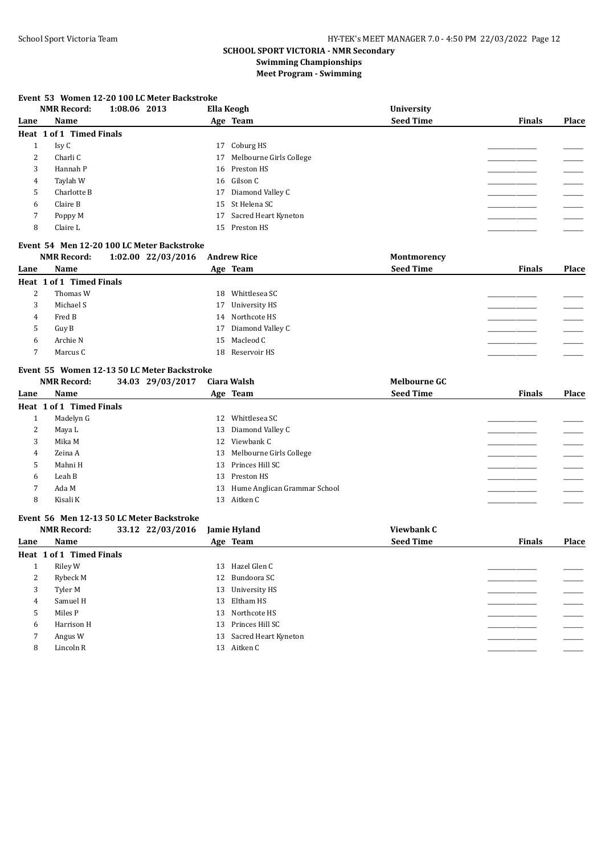#### **Event 53 Women 12-20 100 LC Meter Backstroke**

|      | 1:08.06 2013<br><b>NMR Record:</b> | Ella Keogh                 | <b>University</b> |               |       |
|------|------------------------------------|----------------------------|-------------------|---------------|-------|
| Lane | <b>Name</b>                        | Age Team                   | <b>Seed Time</b>  | <b>Finals</b> | Place |
|      | Heat 1 of 1 Timed Finals           |                            |                   |               |       |
|      | Isy C                              | 17 Coburg HS               |                   |               |       |
| 2    | Charli C                           | 17 Melbourne Girls College |                   |               |       |
| 3    | Hannah P                           | 16 Preston HS              |                   |               |       |
| 4    | Taylah W                           | 16 Gilson C                |                   |               |       |
| 5    | Charlotte B                        | 17 Diamond Valley C        |                   |               |       |
| 6    | Claire B                           | 15 St Helena SC            |                   |               |       |
| 7    | Poppy M                            | 17 Sacred Heart Kyneton    |                   |               |       |
| 8    | Claire L                           | 15 Preston HS              |                   |               |       |

#### **Event 54 Men 12-20 100 LC Meter Backstroke**

|      | <b>NMR Record:</b>       | 1:02.00 22/03/2016 |    | <b>Andrew Rice</b>  | Montmorency      |               |       |
|------|--------------------------|--------------------|----|---------------------|------------------|---------------|-------|
| Lane | Name                     |                    |    | Age Team            | <b>Seed Time</b> | <b>Finals</b> | Place |
|      | Heat 1 of 1 Timed Finals |                    |    |                     |                  |               |       |
| 2    | Thomas W                 |                    | 18 | Whittlesea SC       |                  |               |       |
| 3    | Michael S                |                    |    | 17 University HS    |                  |               |       |
| 4    | Fred B                   |                    |    | 14 Northcote HS     |                  |               |       |
| 5    | Guy B                    |                    |    | 17 Diamond Valley C |                  |               |       |
| 6    | Archie N                 |                    |    | 15 Macleod C        |                  |               |       |
|      | Marcus C                 |                    |    | 18 Reservoir HS     |                  |               |       |

#### **Event 55 Women 12-13 50 LC Meter Backstroke**

|      | <b>NMR Record:</b>       | 34.03 29/03/2017 | Ciara Walsh                     | <b>Melbourne GC</b> |               |       |
|------|--------------------------|------------------|---------------------------------|---------------------|---------------|-------|
| Lane | Name                     |                  | Age Team                        | <b>Seed Time</b>    | <b>Finals</b> | Place |
|      | Heat 1 of 1 Timed Finals |                  |                                 |                     |               |       |
|      | Madelyn G                |                  | Whittlesea SC<br>12             |                     |               |       |
| 2    | Maya L                   |                  | 13 Diamond Valley C             |                     |               |       |
| 3    | Mika M                   |                  | 12 Viewbank C                   |                     |               |       |
| 4    | Zeina A                  |                  | Melbourne Girls College<br>13   |                     |               |       |
| 5    | Mahni H                  |                  | 13 Princes Hill SC              |                     |               |       |
| 6    | Leah B                   |                  | Preston HS<br>13                |                     |               |       |
|      | Ada M                    |                  | 13 Hume Anglican Grammar School |                     |               |       |
| 8    | Kisali K                 |                  | 13 Aitken C                     |                     |               |       |
|      |                          |                  |                                 |                     |               |       |

#### **Event 56 Men 12-13 50 LC Meter Backstroke**

|      | <b>NMR Record:</b>       | 33.12 22/03/2016 | <b>Jamie Hyland</b>     | Viewbank C       |               |       |
|------|--------------------------|------------------|-------------------------|------------------|---------------|-------|
| Lane | Name                     |                  | Age Team                | <b>Seed Time</b> | <b>Finals</b> | Place |
|      | Heat 1 of 1 Timed Finals |                  |                         |                  |               |       |
| T    | Riley W                  |                  | 13 Hazel Glen C         |                  |               |       |
| 2    | Rybeck M                 |                  | 12 Bundoora SC          |                  |               |       |
| 3    | Tyler M                  |                  | 13 University HS        |                  |               |       |
| 4    | Samuel H                 |                  | 13 Eltham HS            |                  |               |       |
| 5    | Miles P                  |                  | 13 Northcote HS         |                  |               |       |
| 6    | Harrison H               |                  | 13 Princes Hill SC      |                  |               |       |
| 7    | Angus W                  |                  | 13 Sacred Heart Kyneton |                  |               |       |
| 8    | Lincoln R                |                  | 13 Aitken C             |                  |               |       |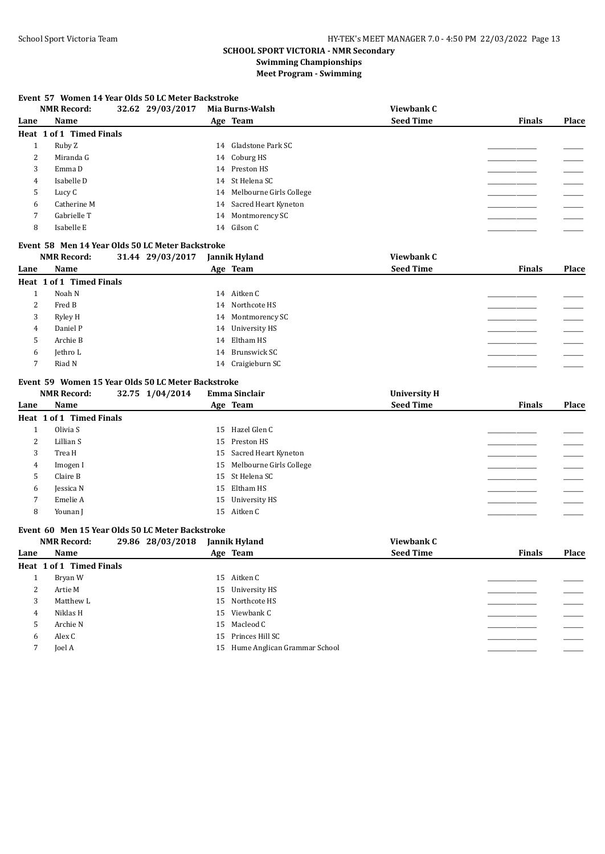#### **Event 57 Women 14 Year Olds 50 LC Meter Backstroke**

|      | <b>NMR Record:</b>       | 32.62 29/03/2017 | Mia Burns-Walsh            | Viewbank C       |               |       |
|------|--------------------------|------------------|----------------------------|------------------|---------------|-------|
| Lane | Name                     |                  | Age Team                   | <b>Seed Time</b> | <b>Finals</b> | Place |
|      | Heat 1 of 1 Timed Finals |                  |                            |                  |               |       |
|      | Ruby Z                   |                  | 14 Gladstone Park SC       |                  |               |       |
| 2    | Miranda G                |                  | 14 Coburg HS               |                  |               |       |
| 3    | Emma D                   |                  | 14 Preston HS              |                  |               |       |
| 4    | Isabelle D               |                  | 14 St Helena SC            |                  |               |       |
| כ    | Lucy C                   |                  | 14 Melbourne Girls College |                  |               |       |
| 6    | Catherine M              |                  | 14 Sacred Heart Kyneton    |                  |               |       |
|      | Gabrielle T              |                  | 14 Montmorency SC          |                  |               |       |
| 8    | Isabelle E               |                  | 14 Gilson C                |                  |               |       |

#### **Event 58 Men 14 Year Olds 50 LC Meter Backstroke**

|      | <b>NMR Record:</b>       | 31.44 29/03/2017 | Jannik Hyland     | Viewbank C       |               |       |
|------|--------------------------|------------------|-------------------|------------------|---------------|-------|
| Lane | Name                     |                  | Age Team          | <b>Seed Time</b> | <b>Finals</b> | Place |
|      | Heat 1 of 1 Timed Finals |                  |                   |                  |               |       |
|      | Noah N                   |                  | 14 Aitken C       |                  |               |       |
| 2    | Fred B                   |                  | 14 Northcote HS   |                  |               |       |
| 3    | Ryley H                  |                  | 14 Montmorency SC |                  |               |       |
| 4    | Daniel P                 |                  | 14 University HS  |                  |               |       |
| 5    | Archie B                 |                  | 14 Eltham HS      |                  |               |       |
| 6    | Jethro L                 |                  | 14 Brunswick SC   |                  |               |       |
|      | Riad N                   |                  | 14 Craigieburn SC |                  |               |       |

#### **Event 59 Women 15 Year Olds 50 LC Meter Backstroke**

|      | <b>NMR Record:</b>       | 32.75 1/04/2014 | Emma Sinclair              | <b>University H</b> |               |       |
|------|--------------------------|-----------------|----------------------------|---------------------|---------------|-------|
| Lane | Name                     |                 | Age Team                   | <b>Seed Time</b>    | <b>Finals</b> | Place |
|      | Heat 1 of 1 Timed Finals |                 |                            |                     |               |       |
|      | Olivia S                 |                 | 15 Hazel Glen C            |                     |               |       |
| 2    | Lillian S                |                 | 15 Preston HS              |                     |               |       |
| 3    | Trea H                   |                 | 15 Sacred Heart Kyneton    |                     |               |       |
| 4    | Imogen I                 |                 | 15 Melbourne Girls College |                     |               |       |
| 5    | Claire B                 |                 | 15 St Helena SC            |                     |               |       |
| 6    | Jessica N                |                 | 15 Eltham HS               |                     |               |       |
|      | Emelie A                 |                 | 15 University HS           |                     |               |       |
| 8    | Younan I                 |                 | 15 Aitken C                |                     |               |       |

## **Event 60 Men 15 Year Olds 50 LC Meter Backstroke**

|      | <b>NMR Record:</b>       | 29.86 28/03/2018 | Jannik Hyland                   | Viewbank C       |               |       |
|------|--------------------------|------------------|---------------------------------|------------------|---------------|-------|
| Lane | Name                     |                  | Age Team                        | <b>Seed Time</b> | <b>Finals</b> | Place |
|      | Heat 1 of 1 Timed Finals |                  |                                 |                  |               |       |
|      | Bryan W                  |                  | 15 Aitken C                     |                  |               |       |
| 2    | Artie M                  |                  | 15 University HS                |                  |               |       |
| 3    | Matthew L                |                  | 15 Northcote HS                 |                  |               |       |
| 4    | Niklas H                 |                  | 15 Viewbank C                   |                  |               |       |
| 5    | Archie N                 |                  | 15 Macleod C                    |                  |               |       |
| 6    | Alex C                   |                  | 15 Princes Hill SC              |                  |               |       |
|      | Joel A                   |                  | 15 Hume Anglican Grammar School |                  |               |       |
|      |                          |                  |                                 |                  |               |       |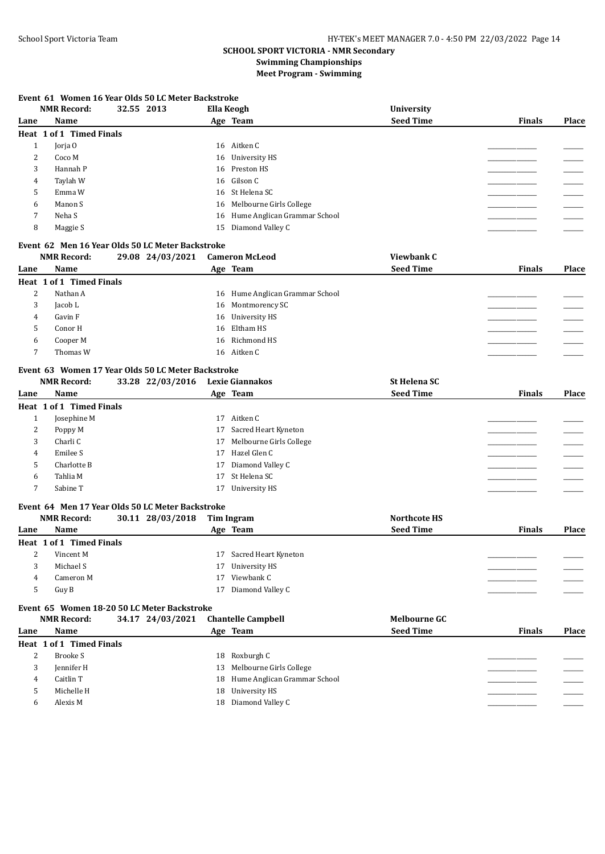#### **Event 61 Women 16 Year Olds 50 LC Meter Backstroke**

|      | <b>NMR Record:</b>       | 32.55 2013 | Ella Keogh |                                 | University       |               |       |
|------|--------------------------|------------|------------|---------------------------------|------------------|---------------|-------|
| Lane | Name                     |            |            | Age Team                        | <b>Seed Time</b> | <b>Finals</b> | Place |
|      | Heat 1 of 1 Timed Finals |            |            |                                 |                  |               |       |
|      | Jorja O                  |            |            | 16 Aitken C                     |                  |               |       |
| 2    | Coco M                   |            |            | 16 University HS                |                  |               |       |
| 3    | Hannah P                 |            |            | 16 Preston HS                   |                  |               |       |
| 4    | Taylah W                 |            |            | 16 Gilson C                     |                  |               |       |
| 5    | Emma W                   |            |            | 16 St Helena SC                 |                  |               |       |
| 6    | Manon S                  |            |            | 16 Melbourne Girls College      |                  |               |       |
| 7    | Neha S                   |            |            | 16 Hume Anglican Grammar School |                  |               |       |
| 8    | Maggie S                 |            |            | 15 Diamond Valley C             |                  |               |       |
|      |                          |            |            |                                 |                  |               |       |

## **Event 62 Men 16 Year Olds 50 LC Meter Backstroke**

|      | <b>NMR Record:</b>       | 29.08 24/03/2021 | <b>Cameron McLeod</b>           | Viewbank C       |               |       |
|------|--------------------------|------------------|---------------------------------|------------------|---------------|-------|
| Lane | Name                     |                  | Age Team                        | <b>Seed Time</b> | <b>Finals</b> | Place |
|      | Heat 1 of 1 Timed Finals |                  |                                 |                  |               |       |
| 2    | Nathan A                 |                  | 16 Hume Anglican Grammar School |                  |               |       |
| 3    | Jacob L                  |                  | 16 Montmorency SC               |                  |               |       |
| 4    | Gavin F                  |                  | 16 University HS                |                  |               |       |
|      | Conor H                  |                  | 16 Eltham HS                    |                  |               |       |
| b    | Cooper M                 |                  | 16 Richmond HS                  |                  |               |       |
|      | Thomas W                 |                  | 16 Aitken C                     |                  |               |       |

#### **Event 63 Women 17 Year Olds 50 LC Meter Backstroke**

|      | <b>NMR Record:</b>       | 33.28 22/03/2016 | Lexie Giannakos            | <b>St Helena SC</b> |               |       |
|------|--------------------------|------------------|----------------------------|---------------------|---------------|-------|
| Lane | Name                     |                  | Age Team                   | <b>Seed Time</b>    | <b>Finals</b> | Place |
|      | Heat 1 of 1 Timed Finals |                  |                            |                     |               |       |
|      | Josephine M              |                  | Aitken C<br>17             |                     |               |       |
| 2    | Poppy M                  |                  | 17 Sacred Heart Kyneton    |                     |               |       |
| 3    | Charli C                 |                  | 17 Melbourne Girls College |                     |               |       |
| 4    | Emilee S                 |                  | 17 Hazel Glen C            |                     |               |       |
| 5    | Charlotte B              |                  | 17 Diamond Valley C        |                     |               |       |
| 6    | Tahlia M                 |                  | 17 St Helena SC            |                     |               |       |
|      | Sabine T                 |                  | 17 University HS           |                     |               |       |

#### **Event 64 Men 17 Year Olds 50 LC Meter Backstroke**

|      | <b>NMR Record:</b>       | 30.11 28/03/2018 |    | Tim Ingram              | Northcote HS     |               |              |
|------|--------------------------|------------------|----|-------------------------|------------------|---------------|--------------|
| Lane | Name                     |                  |    | Age Team                | <b>Seed Time</b> | <b>Finals</b> | <b>Place</b> |
|      | Heat 1 of 1 Timed Finals |                  |    |                         |                  |               |              |
| ▵    | Vincent M                |                  |    | 17 Sacred Heart Kyneton |                  |               |              |
|      | Michael S                |                  |    | 17 University HS        |                  |               |              |
| 4    | Cameron M                |                  | 17 | Viewbank C              |                  |               |              |
|      | Guy B                    |                  |    | Diamond Valley C        |                  |               |              |
|      |                          |                  |    |                         |                  |               |              |

## **Event 65 Women 18-20 50 LC Meter Backstroke**

|      | <b>NMR Record:</b>       | 34.17 24/03/2021 | <b>Chantelle Campbell</b>       | <b>Melbourne GC</b> |               |       |
|------|--------------------------|------------------|---------------------------------|---------------------|---------------|-------|
| Lane | Name                     |                  | Age Team                        | <b>Seed Time</b>    | <b>Finals</b> | Place |
|      | Heat 1 of 1 Timed Finals |                  |                                 |                     |               |       |
| ∠    | Brooke S                 |                  | 18 Roxburgh C                   |                     |               |       |
| 3    | Jennifer H               |                  | 13 Melbourne Girls College      |                     |               |       |
| 4    | Caitlin T                |                  | 18 Hume Anglican Grammar School |                     |               |       |
|      | Michelle H               |                  | 18 University HS                |                     |               |       |
|      | Alexis M                 |                  | 18 Diamond Valley C             |                     |               |       |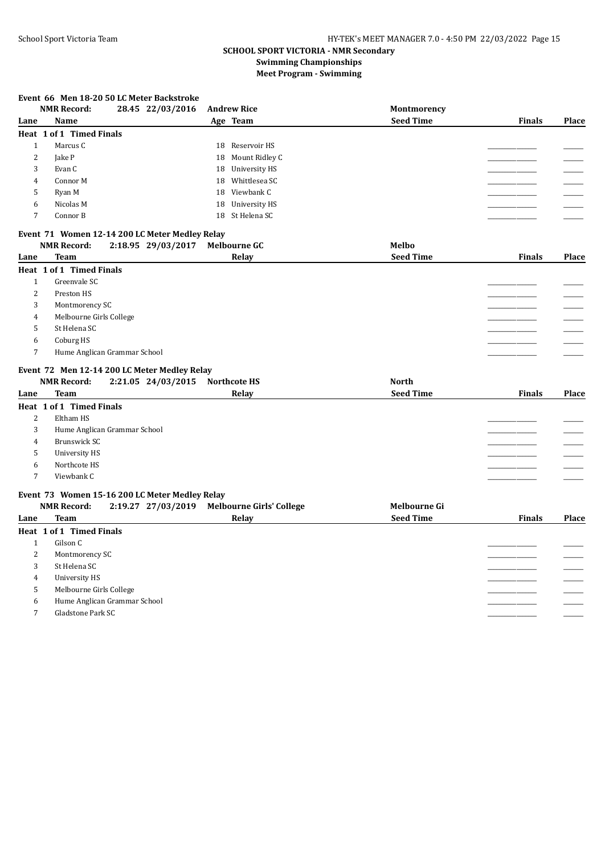#### **Event 66 Men 18-20 50 LC Meter Backstroke**

|      | <b>NMR Record:</b>              | 28.45 22/03/2016                               |    | <b>Andrew Rice</b>  | Montmorency      |               |              |
|------|---------------------------------|------------------------------------------------|----|---------------------|------------------|---------------|--------------|
| Lane | Name                            |                                                |    | Age Team            | <b>Seed Time</b> | <b>Finals</b> | Place        |
|      | Heat 1 of 1 Timed Finals        |                                                |    |                     |                  |               |              |
| 1    | Marcus C                        |                                                |    | 18 Reservoir HS     |                  |               |              |
| 2    | Jake P                          |                                                | 18 | Mount Ridley C      |                  |               |              |
| 3    | Evan C                          |                                                |    | 18 University HS    |                  |               |              |
| 4    | Connor M                        |                                                | 18 | Whittlesea SC       |                  |               |              |
| 5    | Ryan M                          |                                                | 18 | Viewbank C          |                  |               |              |
| 6    | Nicolas M                       |                                                | 18 | University HS       |                  |               |              |
| 7    | Connor B                        |                                                |    | 18 St Helena SC     |                  |               |              |
|      |                                 | Event 71 Women 12-14 200 LC Meter Medley Relay |    |                     |                  |               |              |
|      | <b>NMR Record:</b>              | 2:18.95 29/03/2017                             |    | <b>Melbourne GC</b> | Melbo            |               |              |
| Lane | Team                            |                                                |    | Relay               | <b>Seed Time</b> | <b>Finals</b> | <b>Place</b> |
|      | <b>Heat 1 of 1 Timed Finals</b> |                                                |    |                     |                  |               |              |
|      | Greenvale SC                    |                                                |    |                     |                  |               |              |
| 2    | Preston HS                      |                                                |    |                     |                  |               |              |

|   | Montmorency SC               |  |
|---|------------------------------|--|
|   | Melbourne Girls College      |  |
|   | St Helena SC                 |  |
| 6 | Coburg HS                    |  |
|   | Hume Anglican Grammar School |  |
|   |                              |  |

#### **Event 72 Men 12-14 200 LC Meter Medley Relay**

|      | <b>NMR Record:</b>              | 2:21.05 24/03/2015                             | <b>Northcote HS</b>                         | <b>North</b>        |               |       |
|------|---------------------------------|------------------------------------------------|---------------------------------------------|---------------------|---------------|-------|
| Lane | <b>Team</b>                     |                                                | Relay                                       | <b>Seed Time</b>    | <b>Finals</b> | Place |
|      | <b>Heat 1 of 1 Timed Finals</b> |                                                |                                             |                     |               |       |
| 2    | Eltham HS                       |                                                |                                             |                     |               |       |
| 3    |                                 | Hume Anglican Grammar School                   |                                             |                     |               |       |
| 4    | Brunswick SC                    |                                                |                                             |                     |               |       |
| 5    | University HS                   |                                                |                                             |                     |               |       |
| 6    | Northcote HS                    |                                                |                                             |                     |               |       |
| 7    | Viewbank C                      |                                                |                                             |                     |               |       |
|      |                                 | Event 73 Women 15-16 200 LC Meter Medley Relay |                                             |                     |               |       |
|      | <b>NMR Record:</b>              |                                                | 2:19.27 27/03/2019 Melbourne Girls' College | <b>Melbourne Gi</b> |               |       |

| Lane | $\mathbf{r}$<br><b>Team</b>  | $\cdot$<br>Relay | <b>Seed Time</b> | <b>Finals</b> | Place |
|------|------------------------------|------------------|------------------|---------------|-------|
|      | Heat 1 of 1 Timed Finals     |                  |                  |               |       |
|      | Gilson C                     |                  |                  |               |       |
| 2    | Montmorency SC               |                  |                  |               |       |
| 3    | St Helena SC                 |                  |                  |               |       |
| 4    | University HS                |                  |                  |               |       |
| 5    | Melbourne Girls College      |                  |                  |               |       |
| 6    | Hume Anglican Grammar School |                  |                  |               |       |
| ⇁    | Gladstone Park SC            |                  |                  |               |       |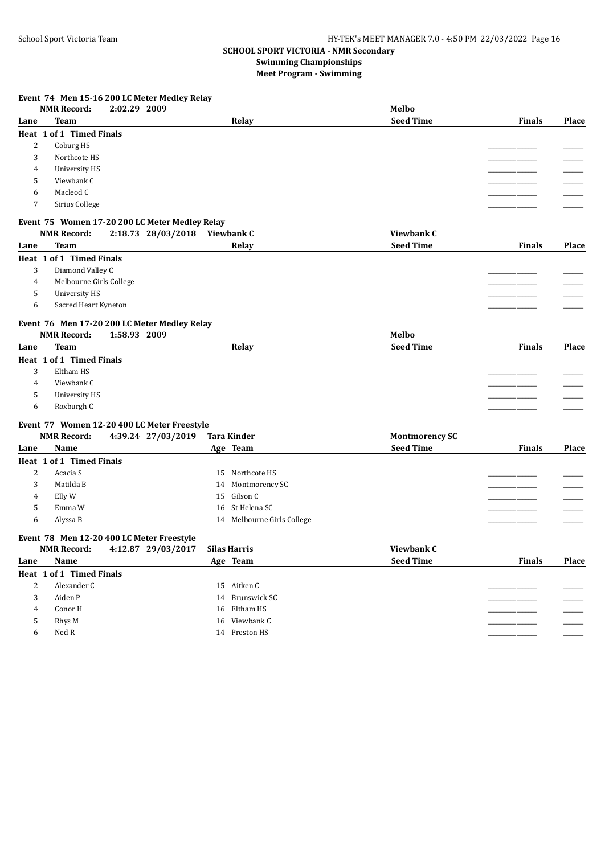## **Event 74 Men 15-16 200 LC Meter Medley Relay**

|                | <b>NMR Record:</b>                        | 2:02.29 2009 |                                                |                            | Melbo                 |               |       |
|----------------|-------------------------------------------|--------------|------------------------------------------------|----------------------------|-----------------------|---------------|-------|
| Lane           | <b>Team</b>                               |              |                                                | Relay                      | <b>Seed Time</b>      | <b>Finals</b> | Place |
|                | Heat 1 of 1 Timed Finals                  |              |                                                |                            |                       |               |       |
| 2              | Coburg HS                                 |              |                                                |                            |                       |               |       |
| 3              | Northcote HS                              |              |                                                |                            |                       |               |       |
| 4              | <b>University HS</b>                      |              |                                                |                            |                       |               |       |
| 5              | Viewbank C                                |              |                                                |                            |                       |               |       |
| 6              | Macleod C                                 |              |                                                |                            |                       |               |       |
| 7              | Sirius College                            |              |                                                |                            |                       |               |       |
|                |                                           |              | Event 75 Women 17-20 200 LC Meter Medley Relay |                            |                       |               |       |
|                | <b>NMR Record:</b>                        |              | 2:18.73 28/03/2018 Viewbank C                  |                            | Viewbank C            |               |       |
| Lane           | <b>Team</b>                               |              |                                                | Relay                      | <b>Seed Time</b>      | <b>Finals</b> | Place |
|                | Heat 1 of 1 Timed Finals                  |              |                                                |                            |                       |               |       |
| 3              | Diamond Valley C                          |              |                                                |                            |                       |               |       |
| 4              | Melbourne Girls College                   |              |                                                |                            |                       |               |       |
| 5              | <b>University HS</b>                      |              |                                                |                            |                       |               |       |
| 6              | Sacred Heart Kyneton                      |              |                                                |                            |                       |               |       |
|                |                                           |              | Event 76 Men 17-20 200 LC Meter Medley Relay   |                            |                       |               |       |
|                | <b>NMR Record:</b>                        | 1:58.93 2009 |                                                |                            | Melbo                 |               |       |
| Lane           | <b>Team</b>                               |              |                                                | Relay                      | <b>Seed Time</b>      | <b>Finals</b> | Place |
|                | Heat 1 of 1 Timed Finals                  |              |                                                |                            |                       |               |       |
| 3              | Eltham HS                                 |              |                                                |                            |                       |               |       |
| $\overline{4}$ | Viewbank C                                |              |                                                |                            |                       |               |       |
| 5              | <b>University HS</b>                      |              |                                                |                            |                       |               |       |
| 6              | Roxburgh C                                |              |                                                |                            |                       |               |       |
|                |                                           |              | Event 77 Women 12-20 400 LC Meter Freestyle    |                            |                       |               |       |
|                | <b>NMR Record:</b>                        |              | 4:39.24 27/03/2019                             | <b>Tara Kinder</b>         | <b>Montmorency SC</b> |               |       |
| Lane           | Name                                      |              |                                                | Age Team                   | <b>Seed Time</b>      | <b>Finals</b> | Place |
|                | Heat 1 of 1 Timed Finals                  |              |                                                |                            |                       |               |       |
| 2              | Acacia S                                  |              |                                                | 15 Northcote HS            |                       |               |       |
| 3              | Matilda B                                 |              |                                                | 14 Montmorency SC          |                       |               |       |
| 4              | Elly W                                    |              | 15                                             | Gilson C                   |                       |               |       |
| 5              | Emma W                                    |              |                                                | 16 St Helena SC            |                       |               |       |
| 6              | Alyssa B                                  |              |                                                | 14 Melbourne Girls College |                       |               |       |
|                | Event 78 Men 12-20 400 LC Meter Freestyle |              |                                                |                            |                       |               |       |
|                | <b>NMR Record:</b>                        |              | 4:12.87 29/03/2017                             | <b>Silas Harris</b>        | Viewbank C            |               |       |
| Lane           | Name                                      |              |                                                | Age Team                   | <b>Seed Time</b>      | <b>Finals</b> | Place |
|                | Heat 1 of 1 Timed Finals                  |              |                                                |                            |                       |               |       |
| 2              | Alexander C                               |              |                                                | 15 Aitken C                |                       |               |       |
| 3              | Aiden P                                   |              |                                                | 14 Brunswick SC            |                       |               |       |
| 4              | Conor H                                   |              |                                                | 16 Eltham HS               |                       |               |       |
| 5              | Rhys M                                    |              |                                                | 16 Viewbank C              |                       |               |       |
| 6              | Ned R                                     |              |                                                | 14 Preston HS              |                       |               |       |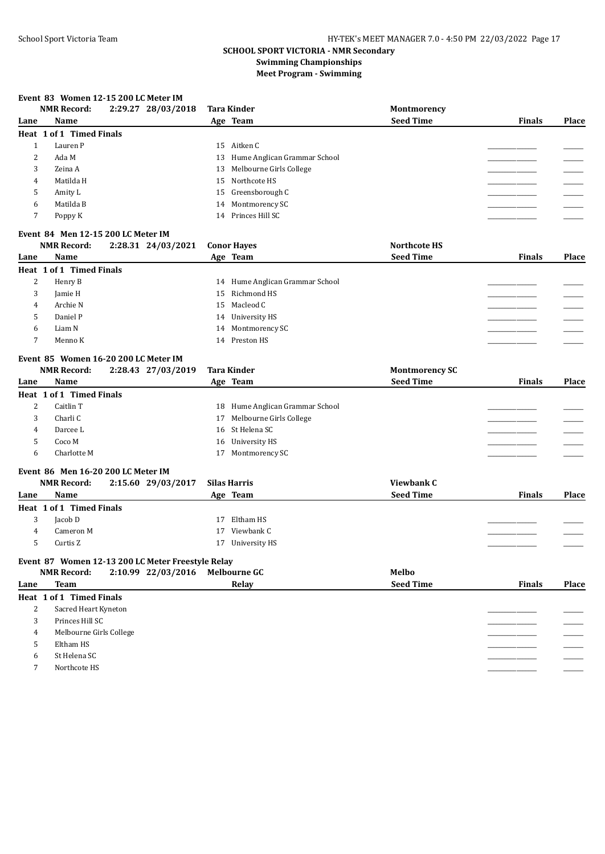#### **Event 83 Women 12-15 200 LC Meter IM**

|              | Event 83 Women 12-15 200 LC Meter IM<br><b>NMR Record:</b> | 2:29.27 28/03/2018 |    | <b>Tara Kinder</b>              | Montmorency           |               |              |
|--------------|------------------------------------------------------------|--------------------|----|---------------------------------|-----------------------|---------------|--------------|
| Lane         | Name                                                       |                    |    | Age Team                        | <b>Seed Time</b>      | <b>Finals</b> | <b>Place</b> |
|              | Heat 1 of 1 Timed Finals                                   |                    |    |                                 |                       |               |              |
| $\mathbf{1}$ | Lauren P                                                   |                    |    | 15 Aitken C                     |                       |               |              |
| 2            | Ada M                                                      |                    | 13 | Hume Anglican Grammar School    |                       |               |              |
| 3            | Zeina A                                                    |                    | 13 | Melbourne Girls College         |                       |               |              |
| 4            | Matilda H                                                  |                    | 15 | Northcote HS                    |                       |               |              |
| 5            | Amity L                                                    |                    | 15 | Greensborough C                 |                       |               |              |
| 6            | Matilda B                                                  |                    | 14 | Montmorency SC                  |                       |               |              |
| 7            | Poppy K                                                    |                    |    | 14 Princes Hill SC              |                       |               |              |
|              | Event 84 Men 12-15 200 LC Meter IM                         |                    |    |                                 |                       |               |              |
|              | <b>NMR Record:</b>                                         | 2:28.31 24/03/2021 |    | <b>Conor Hayes</b>              | <b>Northcote HS</b>   |               |              |
| Lane         | Name                                                       |                    |    | Age Team                        | <b>Seed Time</b>      | <b>Finals</b> | Place        |
|              | Heat 1 of 1 Timed Finals                                   |                    |    |                                 |                       |               |              |
| 2            | Henry B                                                    |                    |    | 14 Hume Anglican Grammar School |                       |               |              |
| 3            | Jamie H                                                    |                    | 15 | Richmond HS                     |                       |               |              |
| 4            | Archie N                                                   |                    |    | 15 Macleod C                    |                       |               |              |
| 5            | Daniel P                                                   |                    |    | 14 University HS                |                       |               |              |
| 6            | Liam N                                                     |                    | 14 | Montmorency SC                  |                       |               |              |
| 7            | Menno K                                                    |                    |    | 14 Preston HS                   |                       |               |              |
|              | Event 85 Women 16-20 200 LC Meter IM                       |                    |    |                                 |                       |               |              |
|              | <b>NMR Record:</b>                                         | 2:28.43 27/03/2019 |    | <b>Tara Kinder</b>              | <b>Montmorency SC</b> |               |              |
| Lane         | <b>Name</b>                                                |                    |    | Age Team                        | <b>Seed Time</b>      | <b>Finals</b> | Place        |
|              | Heat 1 of 1 Timed Finals                                   |                    |    |                                 |                       |               |              |
| 2            | Caitlin T                                                  |                    |    | 18 Hume Anglican Grammar School |                       |               |              |
| 3            | Charli C                                                   |                    | 17 | Melbourne Girls College         |                       |               |              |
| 4            | Darcee L                                                   |                    | 16 | St Helena SC                    |                       |               |              |
| 5            | Coco M                                                     |                    | 16 | <b>University HS</b>            |                       |               |              |
| 6            | Charlotte M                                                |                    | 17 | Montmorency SC                  |                       |               |              |
|              | Event 86 Men 16-20 200 LC Meter IM                         |                    |    |                                 |                       |               |              |
|              | <b>NMR Record:</b>                                         | 2:15.60 29/03/2017 |    | <b>Silas Harris</b>             | <b>Viewbank C</b>     |               |              |
| Lane         | Name                                                       |                    |    | Age Team                        | <b>Seed Time</b>      | <b>Finals</b> | Place        |

3 Jacob D 17 Eltham HS \_\_\_\_\_\_\_\_\_\_\_\_\_\_\_\_\_ \_\_\_\_\_\_\_ 3 Jacob D<br>
4 Cameron M 17 Viewbank C<br>
5 Curtis Z 17 University HS 5 Curtis Z 17 University HS \_\_\_\_\_\_\_\_\_\_\_\_\_\_\_\_\_ \_\_\_\_\_\_\_

## **Event 87 Women 12-13 200 LC Meter Freestyle Relay**

|      | <b>NMR Record:</b>       | 2:10.99 22/03/2016 | <b>Melbourne GC</b> | Melbo            |               |       |
|------|--------------------------|--------------------|---------------------|------------------|---------------|-------|
| Lane | <b>Team</b>              |                    | Relay               | <b>Seed Time</b> | <b>Finals</b> | Place |
|      | Heat 1 of 1 Timed Finals |                    |                     |                  |               |       |
| 2    | Sacred Heart Kyneton     |                    |                     |                  |               |       |
| 3    | Princes Hill SC          |                    |                     |                  |               |       |
| 4    | Melbourne Girls College  |                    |                     |                  |               |       |
| 5    | Eltham HS                |                    |                     |                  |               |       |
| 6    | St Helena SC             |                    |                     |                  |               |       |
| ⇁    | Northcote HS             |                    |                     |                  |               |       |
|      |                          |                    |                     |                  |               |       |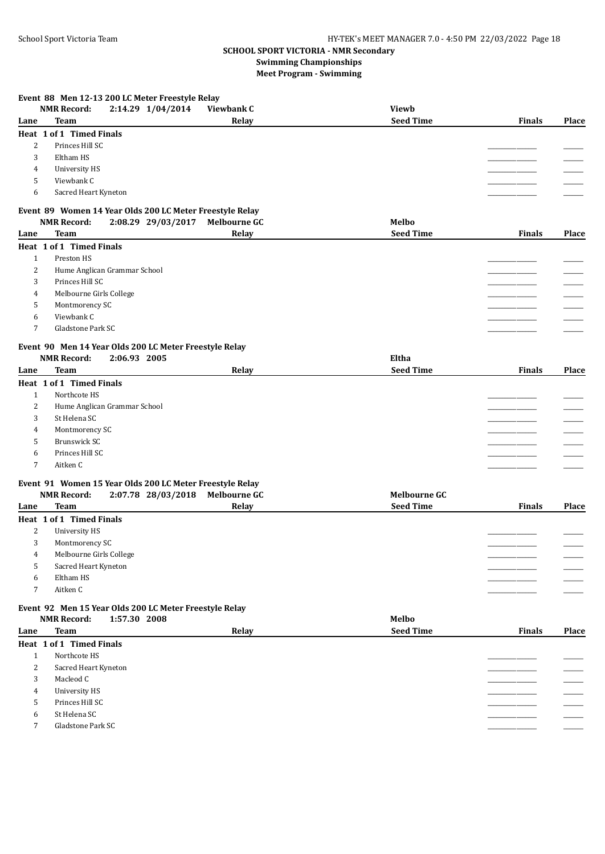## **Event 88 Men 12-13 200 LC Meter Freestyle Relay**

|                | <b>NMR Record:</b><br>2:14.29 1/04/2014                                                      | Viewbank C          | <b>Viewb</b>        |               |       |
|----------------|----------------------------------------------------------------------------------------------|---------------------|---------------------|---------------|-------|
| Lane           | <b>Team</b>                                                                                  | Relay               | <b>Seed Time</b>    | <b>Finals</b> | Place |
|                | Heat 1 of 1 Timed Finals                                                                     |                     |                     |               |       |
| 2              | Princes Hill SC                                                                              |                     |                     |               |       |
| 3              | Eltham HS                                                                                    |                     |                     |               |       |
| 4              | <b>University HS</b>                                                                         |                     |                     |               |       |
| 5              | Viewbank C                                                                                   |                     |                     |               |       |
| 6              | Sacred Heart Kyneton                                                                         |                     |                     |               |       |
|                |                                                                                              |                     |                     |               |       |
|                | Event 89 Women 14 Year Olds 200 LC Meter Freestyle Relay                                     |                     |                     |               |       |
|                | <b>NMR Record:</b><br>2:08.29 29/03/2017                                                     | <b>Melbourne GC</b> | Melbo               |               |       |
| Lane           | <b>Team</b>                                                                                  | Relay               | <b>Seed Time</b>    | <b>Finals</b> | Place |
|                | Heat 1 of 1 Timed Finals                                                                     |                     |                     |               |       |
| $\mathbf{1}$   | Preston HS                                                                                   |                     |                     |               |       |
| 2              | Hume Anglican Grammar School                                                                 |                     |                     |               |       |
| 3              | Princes Hill SC                                                                              |                     |                     |               |       |
| 4              | Melbourne Girls College                                                                      |                     |                     |               |       |
| 5              | Montmorency SC                                                                               |                     |                     |               |       |
| 6              | Viewbank C                                                                                   |                     |                     |               |       |
| 7              | Gladstone Park SC                                                                            |                     |                     |               |       |
|                |                                                                                              |                     |                     |               |       |
|                | Event 90 Men 14 Year Olds 200 LC Meter Freestyle Relay                                       |                     |                     |               |       |
|                | <b>NMR Record:</b><br>2:06.93 2005                                                           |                     | Eltha               |               |       |
| Lane           | <b>Team</b>                                                                                  | Relay               | <b>Seed Time</b>    | Finals        | Place |
|                | Heat 1 of 1 Timed Finals                                                                     |                     |                     |               |       |
| $\mathbf{1}$   | Northcote HS                                                                                 |                     |                     |               |       |
| 2              | Hume Anglican Grammar School                                                                 |                     |                     |               |       |
| 3              | St Helena SC                                                                                 |                     |                     |               |       |
| 4              | Montmorency SC                                                                               |                     |                     |               |       |
| 5              | Brunswick SC                                                                                 |                     |                     |               |       |
| 6              | Princes Hill SC                                                                              |                     |                     |               |       |
| 7              | Aitken C                                                                                     |                     |                     |               |       |
|                |                                                                                              |                     |                     |               |       |
|                | Event 91 Women 15 Year Olds 200 LC Meter Freestyle Relay                                     |                     |                     |               |       |
|                | <b>NMR Record:</b><br>2:07.78 28/03/2018                                                     | <b>Melbourne GC</b> | <b>Melbourne GC</b> |               |       |
| Lane           | <b>Team</b>                                                                                  | Relay               | <b>Seed Time</b>    | <b>Finals</b> | Place |
|                | Heat 1 of 1 Timed Finals                                                                     |                     |                     |               |       |
| $\overline{c}$ | <b>University HS</b>                                                                         |                     |                     |               |       |
| 3              | Montmorency SC                                                                               |                     |                     |               |       |
| 4              | Melbourne Girls College                                                                      |                     |                     |               |       |
| 5              | Sacred Heart Kyneton                                                                         |                     |                     |               |       |
| 6              | Eltham HS                                                                                    |                     |                     |               |       |
| 7              | Aitken C                                                                                     |                     |                     |               |       |
|                |                                                                                              |                     |                     |               |       |
|                | Event 92 Men 15 Year Olds 200 LC Meter Freestyle Relay<br><b>NMR Record:</b><br>1:57.30 2008 |                     | Melbo               |               |       |
|                | <b>Team</b>                                                                                  |                     | <b>Seed Time</b>    | <b>Finals</b> | Place |
| Lane           |                                                                                              | Relay               |                     |               |       |
|                | Heat 1 of 1 Timed Finals                                                                     |                     |                     |               |       |
| $\mathbf{1}$   | Northcote HS                                                                                 |                     |                     |               |       |
| 2              | Sacred Heart Kyneton                                                                         |                     |                     |               |       |
| 3              | Macleod C                                                                                    |                     |                     |               |       |
| 4              | <b>University HS</b>                                                                         |                     |                     |               |       |
| 5              | Princes Hill SC                                                                              |                     |                     |               |       |
| 6              | St Helena SC                                                                                 |                     |                     |               |       |
| 7              | Gladstone Park SC                                                                            |                     |                     |               |       |